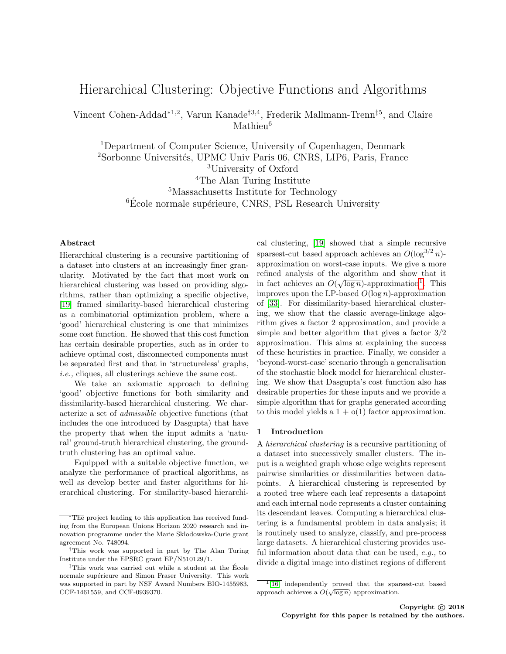# <span id="page-0-0"></span>Hierarchical Clustering: Objective Functions and Algorithms

Vincent Cohen-Addad<sup>∗</sup>1,2, Varun Kanade†3,4, Frederik Mallmann-Trenn‡<sup>5</sup> , and Claire Mathieu<sup>6</sup>

Department of Computer Science, University of Copenhagen, Denmark <sup>2</sup>Sorbonne Universités, UPMC Univ Paris 06, CNRS, LIP6, Paris, France University of Oxford The Alan Turing Institute Massachusetts Institute for Technology  $6E$ cole normale supérieure, CNRS, PSL Research University

#### Abstract

Hierarchical clustering is a recursive partitioning of a dataset into clusters at an increasingly finer granularity. Motivated by the fact that most work on hierarchical clustering was based on providing algorithms, rather than optimizing a specific objective, [\[19\]](#page-19-0) framed similarity-based hierarchical clustering as a combinatorial optimization problem, where a 'good' hierarchical clustering is one that minimizes some cost function. He showed that this cost function has certain desirable properties, such as in order to achieve optimal cost, disconnected components must be separated first and that in 'structureless' graphs, i.e., cliques, all clusterings achieve the same cost.

We take an axiomatic approach to defining 'good' objective functions for both similarity and dissimilarity-based hierarchical clustering. We characterize a set of admissible objective functions (that includes the one introduced by Dasgupta) that have the property that when the input admits a 'natural' ground-truth hierarchical clustering, the groundtruth clustering has an optimal value.

Equipped with a suitable objective function, we analyze the performance of practical algorithms, as well as develop better and faster algorithms for hierarchical clustering. For similarity-based hierarchical clustering, [\[19\]](#page-19-0) showed that a simple recursive sparsest-cut based approach achieves an  $O(\log^{3/2} n)$ approximation on worst-case inputs. We give a more refined analysis of the algorithm and show that it in fact achieves an  $O(\sqrt{\log n})$ -approximation<sup>1</sup>. This improves upon the LP-based  $O(\log n)$ -approximation of [\[33\]](#page-19-1). For dissimilarity-based hierarchical clustering, we show that the classic average-linkage algorithm gives a factor 2 approximation, and provide a simple and better algorithm that gives a factor  $3/2$ approximation. This aims at explaining the success of these heuristics in practice. Finally, we consider a 'beyond-worst-case' scenario through a generalisation of the stochastic block model for hierarchical clustering. We show that Dasgupta's cost function also has desirable properties for these inputs and we provide a simple algorithm that for graphs generated according to this model yields a  $1 + o(1)$  factor approximation.

## 1 Introduction

A hierarchical clustering is a recursive partitioning of a dataset into successively smaller clusters. The input is a weighted graph whose edge weights represent pairwise similarities or dissimilarities between datapoints. A hierarchical clustering is represented by a rooted tree where each leaf represents a datapoint and each internal node represents a cluster containing its descendant leaves. Computing a hierarchical clustering is a fundamental problem in data analysis; it is routinely used to analyze, classify, and pre-process large datasets. A hierarchical clustering provides useful information about data that can be used, e.g., to divide a digital image into distinct regions of different

<sup>∗</sup>The project leading to this application has received funding from the European Unions Horizon 2020 research and innovation programme under the Marie Sklodowska-Curie grant agreement No. 748094.

<sup>†</sup>This work was supported in part by The Alan Turing Institute under the EPSRC grant EP/N510129/1.

<sup>‡</sup>This work was carried out while a student at the Ecole ´ normale supérieure and Simon Fraser University. This work was supported in part by NSF Award Numbers BIO-1455983, CCF-1461559, and CCF-0939370.

 $\overline{1[16]}$  $\overline{1[16]}$  $\overline{1[16]}$  independently proved that the sparsest-cut based approach achieves a  $O(\sqrt{\log n})$  approximation.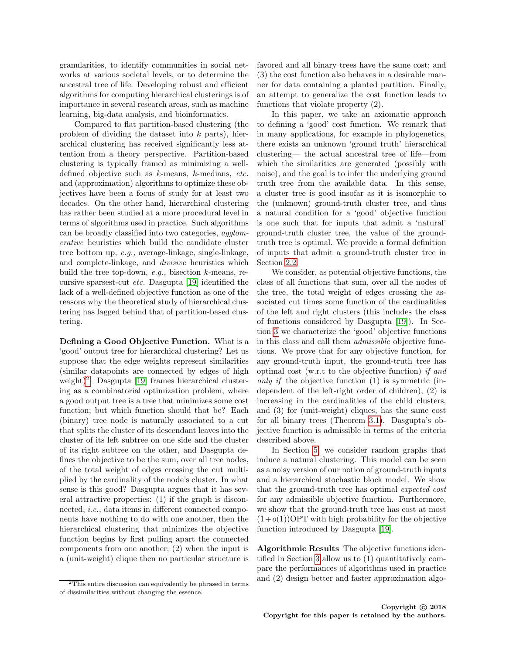granularities, to identify communities in social networks at various societal levels, or to determine the ancestral tree of life. Developing robust and efficient algorithms for computing hierarchical clusterings is of importance in several research areas, such as machine learning, big-data analysis, and bioinformatics.

Compared to flat partition-based clustering (the problem of dividing the dataset into  $k$  parts), hierarchical clustering has received significantly less attention from a theory perspective. Partition-based clustering is typically framed as minimizing a welldefined objective such as  $k$ -means,  $k$ -medians, etc. and (approximation) algorithms to optimize these objectives have been a focus of study for at least two decades. On the other hand, hierarchical clustering has rather been studied at a more procedural level in terms of algorithms used in practice. Such algorithms can be broadly classified into two categories, agglomerative heuristics which build the candidate cluster tree bottom up, e.g., average-linkage, single-linkage, and complete-linkage, and divisive heuristics which build the tree top-down,  $e.q.$ , bisection  $k$ -means, recursive sparsest-cut etc. Dasgupta [\[19\]](#page-19-0) identified the lack of a well-defined objective function as one of the reasons why the theoretical study of hierarchical clustering has lagged behind that of partition-based clustering.

Defining a Good Objective Function. What is a 'good' output tree for hierarchical clustering? Let us suppose that the edge weights represent similarities (similar datapoints are connected by edges of high weight)<sup>[2](#page-0-0)</sup>. Dasgupta [\[19\]](#page-19-0) frames hierarchical clustering as a combinatorial optimization problem, where a good output tree is a tree that minimizes some cost function; but which function should that be? Each (binary) tree node is naturally associated to a cut that splits the cluster of its descendant leaves into the cluster of its left subtree on one side and the cluster of its right subtree on the other, and Dasgupta defines the objective to be the sum, over all tree nodes, of the total weight of edges crossing the cut multiplied by the cardinality of the node's cluster. In what sense is this good? Dasgupta argues that it has several attractive properties: (1) if the graph is disconnected, i.e., data items in different connected components have nothing to do with one another, then the hierarchical clustering that minimizes the objective function begins by first pulling apart the connected components from one another; (2) when the input is a (unit-weight) clique then no particular structure is

 $\overline{^{2}$ This entire discussion can equivalently be phrased in terms of dissimilarities without changing the essence.

favored and all binary trees have the same cost; and (3) the cost function also behaves in a desirable manner for data containing a planted partition. Finally, an attempt to generalize the cost function leads to functions that violate property (2).

In this paper, we take an axiomatic approach to defining a 'good' cost function. We remark that in many applications, for example in phylogenetics, there exists an unknown 'ground truth' hierarchical clustering— the actual ancestral tree of life—from which the similarities are generated (possibly with noise), and the goal is to infer the underlying ground truth tree from the available data. In this sense, a cluster tree is good insofar as it is isomorphic to the (unknown) ground-truth cluster tree, and thus a natural condition for a 'good' objective function is one such that for inputs that admit a 'natural' ground-truth cluster tree, the value of the groundtruth tree is optimal. We provide a formal definition of inputs that admit a ground-truth cluster tree in Section [2.2.](#page-5-0)

We consider, as potential objective functions, the class of all functions that sum, over all the nodes of the tree, the total weight of edges crossing the associated cut times some function of the cardinalities of the left and right clusters (this includes the class of functions considered by Dasgupta [\[19\]](#page-19-0)). In Section [3](#page-6-0) we characterize the 'good' objective functions in this class and call them admissible objective functions. We prove that for any objective function, for any ground-truth input, the ground-truth tree has optimal cost (w.r.t to the objective function) if and only if the objective function (1) is symmetric (independent of the left-right order of children), (2) is increasing in the cardinalities of the child clusters, and (3) for (unit-weight) cliques, has the same cost for all binary trees (Theorem [3.1\)](#page-7-0). Dasgupta's objective function is admissible in terms of the criteria described above.

In Section [5,](#page-10-0) we consider random graphs that induce a natural clustering. This model can be seen as a noisy version of our notion of ground-truth inputs and a hierarchical stochastic block model. We show that the ground-truth tree has optimal expected cost for any admissible objective function. Furthermore, we show that the ground-truth tree has cost at most  $(1+o(1))$ OPT with high probability for the objective function introduced by Dasgupta [\[19\]](#page-19-0).

Algorithmic Results The objective functions identified in Section [3](#page-6-0) allow us to (1) quantitatively compare the performances of algorithms used in practice and (2) design better and faster approximation algo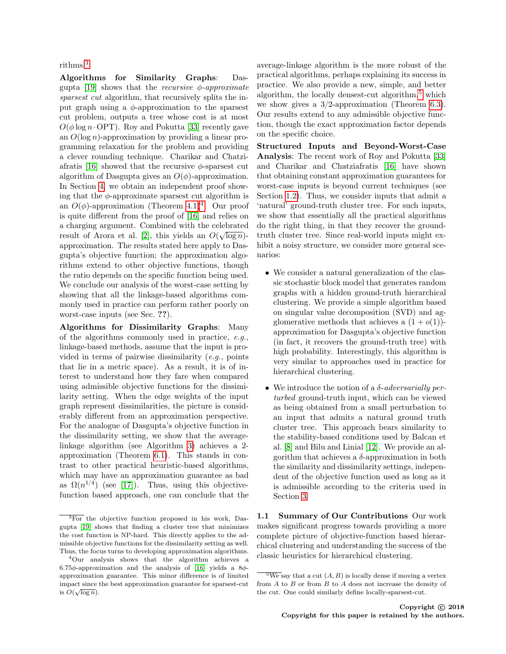rithms.[3](#page-0-0)

Algorithms for Similarity Graphs: Das-gupta [\[19\]](#page-19-0) shows that the recursive  $\phi$ -approximate sparsest cut algorithm, that recursively splits the input graph using a  $\phi$ -approximation to the sparsest cut problem, outputs a tree whose cost is at most  $O(\phi \log n \cdot \text{OPT})$ . Roy and Pokutta [\[33\]](#page-19-1) recently gave an  $O(\log n)$ -approximation by providing a linear programming relaxation for the problem and providing a clever rounding technique. Charikar and Chatzi-afratis [\[16\]](#page-18-0) showed that the recursive  $\phi$ -sparsest cut algorithm of Dasgupta gives an  $O(\phi)$ -approximation. In Section [4,](#page-8-0) we obtain an independent proof showing that the  $\phi$ -approximate sparsest cut algorithm is an  $O(\phi)$ -approximation (Theorem [4.1\)](#page-9-0)<sup>[4](#page-0-0)</sup>. Our proof is quite different from the proof of [\[16\]](#page-18-0) and relies on a charging argument. Combined with the celebrated a charging argument. Combined with the celebrated<br>result of Arora et al. [\[2\]](#page-18-1), this yields an  $O(\sqrt{\log n})$ approximation. The results stated here apply to Dasgupta's objective function; the approximation algorithms extend to other objective functions, though the ratio depends on the specific function being used. We conclude our analysis of the worst-case setting by showing that all the linkage-based algorithms commonly used in practice can perform rather poorly on worst-case inputs (see Sec. ??).

Algorithms for Dissimilarity Graphs: Many of the algorithms commonly used in practice, e.g., linkage-based methods, assume that the input is provided in terms of pairwise dissimilarity (e.g., points that lie in a metric space). As a result, it is of interest to understand how they fare when compared using admissible objective functions for the dissimilarity setting. When the edge weights of the input graph represent dissimilarities, the picture is considerably different from an approximation perspective. For the analogue of Dasgupta's objective function in the dissimilarity setting, we show that the averagelinkage algorithm (see Algorithm [3\)](#page-14-0) achieves a 2 approximation (Theorem [6.1\)](#page-14-1). This stands in contrast to other practical heuristic-based algorithms, which may have an approximation guarantee as bad as  $\Omega(n^{1/4})$  (see [\[17\]](#page-18-2)). Thus, using this objectivefunction based approach, one can conclude that the

average-linkage algorithm is the more robust of the practical algorithms, perhaps explaining its success in practice. We also provide a new, simple, and better algorithm, the locally densest-cut algorithm, $5$  which we show gives a  $3/2$ -approximation (Theorem [6.3\)](#page-14-2). Our results extend to any admissible objective function, though the exact approximation factor depends on the specific choice.

Structured Inputs and Beyond-Worst-Case Analysis: The recent work of Roy and Pokutta [\[33\]](#page-19-1) and Charikar and Chatziafratis [\[16\]](#page-18-0) have shown that obtaining constant approximation guarantees for worst-case inputs is beyond current techniques (see Section [1.2\)](#page-3-0). Thus, we consider inputs that admit a 'natural' ground-truth cluster tree. For such inputs, we show that essentially all the practical algorithms do the right thing, in that they recover the groundtruth cluster tree. Since real-world inputs might exhibit a noisy structure, we consider more general scenarios:

- We consider a natural generalization of the classic stochastic block model that generates random graphs with a hidden ground-truth hierarchical clustering. We provide a simple algorithm based on singular value decomposition (SVD) and agglomerative methods that achieves a  $(1 + o(1))$ approximation for Dasgupta's objective function (in fact, it recovers the ground-truth tree) with high probability. Interestingly, this algorithm is very similar to approaches used in practice for hierarchical clustering.
- We introduce the notion of a  $\delta$ -adversarially perturbed ground-truth input, which can be viewed as being obtained from a small perturbation to an input that admits a natural ground truth cluster tree. This approach bears similarity to the stability-based conditions used by Balcan et al. [\[8\]](#page-18-3) and Bilu and Linial [\[12\]](#page-18-4). We provide an algorithm that achieves a  $\delta$ -approximation in both the similarity and dissimilarity settings, independent of the objective function used as long as it is admissible according to the criteria used in Section [3.](#page-6-0)

1.1 Summary of Our Contributions Our work makes significant progress towards providing a more complete picture of objective-function based hierarchical clustering and understanding the success of the classic heuristics for hierarchical clustering.

 $\overline{3}$  For the objective function proposed in his work, Dasgupta [\[19\]](#page-19-0) shows that finding a cluster tree that minimizes the cost function is NP-hard. This directly applies to the admissible objective functions for the dissimilarity setting as well. Thus, the focus turns to developing approximation algorithms.

<sup>4</sup>Our analysis shows that the algorithm achieves a 6.75 $\phi$ -approximation and the analysis of [\[16\]](#page-18-0) yields a 8 $\phi$ approximation guarantee. This minor difference is of limited impact since the best approximation guarantee for sparsest-cut is  $O(\sqrt{\log n})$ .

 $\sqrt[5]{100}$  say that a cut  $(A, B)$  is locally dense if moving a vertex from  $A$  to  $B$  or from  $B$  to  $A$  does not increase the density of the cut. One could similarly define locally-sparsest-cut.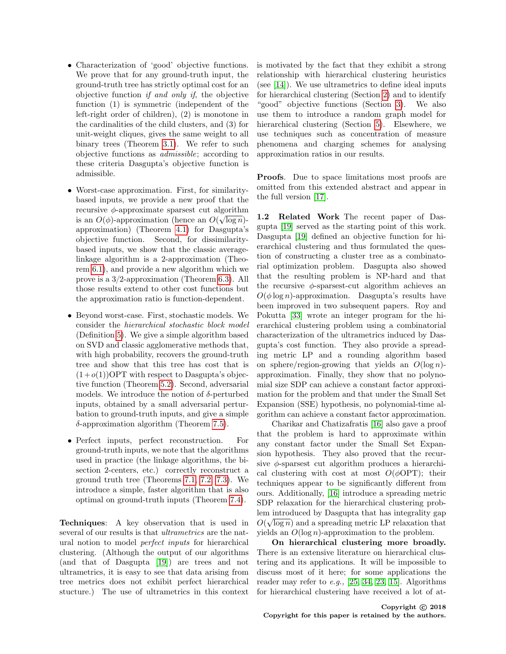- Characterization of 'good' objective functions. We prove that for any ground-truth input, the ground-truth tree has strictly optimal cost for an objective function if and only if, the objective function (1) is symmetric (independent of the left-right order of children), (2) is monotone in the cardinalities of the child clusters, and (3) for unit-weight cliques, gives the same weight to all binary trees (Theorem [3.1\)](#page-7-0). We refer to such objective functions as admissible; according to these criteria Dasgupta's objective function is admissible.
- Worst-case approximation. First, for similaritybased inputs, we provide a new proof that the recursive  $\phi$ -approximate sparsest cut algorithm is an  $O(\phi)$ -approximation (hence an  $O(\sqrt{\log n})$ approximation) (Theorem [4.1\)](#page-9-0) for Dasgupta's objective function. Second, for dissimilaritybased inputs, we show that the classic averagelinkage algorithm is a 2-approximation (Theorem [6.1\)](#page-14-1), and provide a new algorithm which we prove is a  $3/2$ -approximation (Theorem [6.3\)](#page-14-2). All those results extend to other cost functions but the approximation ratio is function-dependent.
- Beyond worst-case. First, stochastic models. We consider the hierarchical stochastic block model (Definition [5\)](#page-11-0). We give a simple algorithm based on SVD and classic agglomerative methods that, with high probability, recovers the ground-truth tree and show that this tree has cost that is  $(1+o(1))$  OPT with respect to Dasgupta's objective function (Theorem [5.2\)](#page-12-0). Second, adversarial models. We introduce the notion of  $\delta$ -perturbed inputs, obtained by a small adversarial perturbation to ground-truth inputs, and give a simple δ-approximation algorithm (Theorem [7.5\)](#page-17-0).
- Perfect inputs, perfect reconstruction. For ground-truth inputs, we note that the algorithms used in practice (the linkage algorithms, the bisection 2-centers, etc.) correctly reconstruct a ground truth tree (Theorems [7.1,](#page-15-0) [7.2,](#page-16-0) [7.3\)](#page-16-1). We introduce a simple, faster algorithm that is also optimal on ground-truth inputs (Theorem [7.4\)](#page-16-2).

Techniques: A key observation that is used in several of our results is that *ultrametrics* are the natural notion to model perfect inputs for hierarchical clustering. (Although the output of our algorithms (and that of Dasgupta [\[19\]](#page-19-0)) are trees and not ultrametrics, it is easy to see that data arising from tree metrics does not exhibit perfect hierarchical stucture.) The use of ultrametrics in this context

is motivated by the fact that they exhibit a strong relationship with hierarchical clustering heuristics (see [\[14\]](#page-18-5)). We use ultrametrics to define ideal inputs for hierarchical clustering (Section [2\)](#page-4-0) and to identify "good" objective functions (Section [3\)](#page-6-0). We also use them to introduce a random graph model for hierarchical clustering (Section [5\)](#page-10-0). Elsewhere, we use techniques such as concentration of measure phenomena and charging schemes for analysing approximation ratios in our results.

Proofs. Due to space limitations most proofs are omitted from this extended abstract and appear in the full version [\[17\]](#page-18-2).

<span id="page-3-0"></span>1.2 Related Work The recent paper of Dasgupta [\[19\]](#page-19-0) served as the starting point of this work. Dasgupta [\[19\]](#page-19-0) defined an objective function for hierarchical clustering and thus formulated the question of constructing a cluster tree as a combinatorial optimization problem. Dasgupta also showed that the resulting problem is NP-hard and that the recursive  $\phi$ -sparsest-cut algorithm achieves an  $O(\phi \log n)$ -approximation. Dasgupta's results have been improved in two subsequent papers. Roy and Pokutta [\[33\]](#page-19-1) wrote an integer program for the hierarchical clustering problem using a combinatorial characterization of the ultrametrics induced by Dasgupta's cost function. They also provide a spreading metric LP and a rounding algorithm based on sphere/region-growing that yields an  $O(\log n)$ approximation. Finally, they show that no polynomial size SDP can achieve a constant factor approximation for the problem and that under the Small Set Expansion (SSE) hypothesis, no polynomial-time algorithm can achieve a constant factor approximation.

Charikar and Chatizafratis [\[16\]](#page-18-0) also gave a proof that the problem is hard to approximate within any constant factor under the Small Set Expansion hypothesis. They also proved that the recursive  $\phi$ -sparsest cut algorithm produces a hierarchical clustering with cost at most  $O(\phi \text{OPT})$ ; their techniques appear to be significantly different from ours. Additionally, [\[16\]](#page-18-0) introduce a spreading metric SDP relaxation for the hierarchical clustering problem introduced by Dasgupta that has integrality gap ?  $O(\sqrt{\log n})$  and a spreading metric LP relaxation that yields an  $O(\log n)$ -approximation to the problem.

On hierarchical clustering more broadly. There is an extensive literature on hierarchical clustering and its applications. It will be impossible to discuss most of it here; for some applications the reader may refer to  $e.g., [25, 34, 23, 15]$  $e.g., [25, 34, 23, 15]$  $e.g., [25, 34, 23, 15]$  $e.g., [25, 34, 23, 15]$  $e.g., [25, 34, 23, 15]$ . Algorithms for hierarchical clustering have received a lot of at-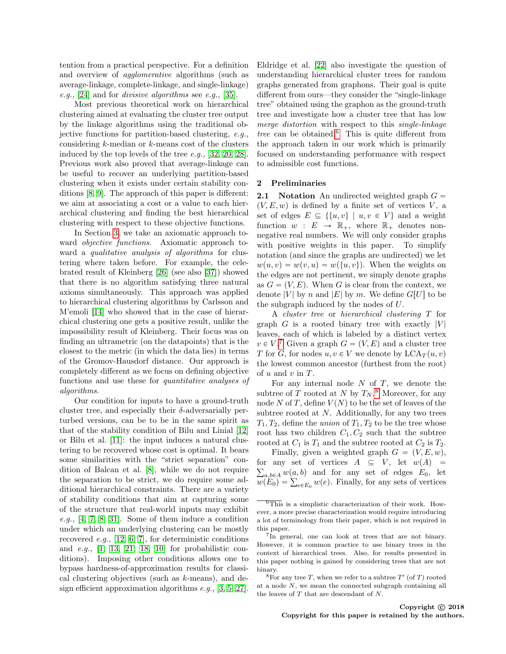tention from a practical perspective. For a definition and overview of agglomerative algorithms (such as average-linkage, complete-linkage, and single-linkage) e.g., [\[24\]](#page-19-5) and for divisive algorithms see e.g., [\[35\]](#page-19-6).

Most previous theoretical work on hierarchical clustering aimed at evaluating the cluster tree output by the linkage algorithms using the traditional objective functions for partition-based clustering, e.g., considering k-median or k-means cost of the clusters induced by the top levels of the tree  $e.g., [32, 20, 28].$  $e.g., [32, 20, 28].$  $e.g., [32, 20, 28].$  $e.g., [32, 20, 28].$  $e.g., [32, 20, 28].$ Previous work also proved that average-linkage can be useful to recover an underlying partition-based clustering when it exists under certain stability conditions [\[8,](#page-18-3) [9\]](#page-18-7). The approach of this paper is different: we aim at associating a cost or a value to each hierarchical clustering and finding the best hierarchical clustering with respect to these objective functions.

In Section [3,](#page-6-0) we take an axiomatic approach toward *objective functions*. Axiomatic approach toward a *qualitative analysis of algorithms* for clustering where taken before. For example, the celebrated result of Kleinberg [\[26\]](#page-19-10) (see also [\[37\]](#page-19-11)) showed that there is no algorithm satisfying three natural axioms simultaneously. This approach was applied to hierarchical clustering algorithms by Carlsson and M'emoli [\[14\]](#page-18-5) who showed that in the case of hierarchical clustering one gets a positive result, unlike the impossibility result of Kleinberg. Their focus was on finding an ultrametric (on the datapoints) that is the closest to the metric (in which the data lies) in terms of the Gromov-Hausdorf distance. Our approach is completely different as we focus on defining objective functions and use these for quantitative analyses of algorithms.

Our condition for inputs to have a ground-truth cluster tree, and especially their  $\delta$ -adversarially perturbed versions, can be to be in the same spirit as that of the stability condition of Bilu and Linial [\[12\]](#page-18-4) or Bilu et al. [\[11\]](#page-18-8): the input induces a natural clustering to be recovered whose cost is optimal. It bears some similarities with the "strict separation" condition of Balcan et al. [\[8\]](#page-18-3), while we do not require the separation to be strict, we do require some additional hierarchical constraints. There are a variety of stability conditions that aim at capturing some of the structure that real-world inputs may exhibit e.g., [\[4,](#page-18-9) [7,](#page-18-10) [8,](#page-18-3) [31\]](#page-19-12). Some of them induce a condition under which an underlying clustering can be mostly recovered  $e.g., [12, 6, 7],$  $e.g., [12, 6, 7],$  $e.g., [12, 6, 7],$  $e.g., [12, 6, 7],$  $e.g., [12, 6, 7],$  for deterministic conditions and  $e.g., [1, 13, 21, 18, 10]$  $e.g., [1, 13, 21, 18, 10]$  $e.g., [1, 13, 21, 18, 10]$  $e.g., [1, 13, 21, 18, 10]$  $e.g., [1, 13, 21, 18, 10]$  $e.g., [1, 13, 21, 18, 10]$  for probabilistic conditions). Imposing other conditions allows one to bypass hardness-of-approximation results for classical clustering objectives (such as  $k$ -means), and design efficient approximation algorithms  $e.g., [3, 5, 27].$  $e.g., [3, 5, 27].$  $e.g., [3, 5, 27].$  $e.g., [3, 5, 27].$  $e.g., [3, 5, 27].$ 

Eldridge et al. [\[22\]](#page-19-15) also investigate the question of understanding hierarchical cluster trees for random graphs generated from graphons. Their goal is quite different from ours—they consider the "single-linkage tree" obtained using the graphon as the ground-truth tree and investigate how a cluster tree that has low merge distortion with respect to this single-linkage tree can be obtained.<sup>[6](#page-0-0)</sup> This is quite different from the approach taken in our work which is primarily focused on understanding performance with respect to admissible cost functions.

## <span id="page-4-0"></span>2 Preliminaries

**2.1** Notation An undirected weighted graph  $G =$  $(V, E, w)$  is defined by a finite set of vertices V, a set of edges  $E \subseteq \{ \{u, v\} \mid u, v \in V \}$  and a weight function  $w : E \to \mathbb{R}_+$ , where  $\mathbb{R}_+$  denotes nonnegative real numbers. We will only consider graphs with positive weights in this paper. To simplify notation (and since the graphs are undirected) we let  $w(u, v) = w(v, u) = w({u, v})$ . When the weights on the edges are not pertinent, we simply denote graphs as  $G = (V, E)$ . When G is clear from the context, we denote |V| by n and |E| by m. We define  $G[U]$  to be the subgraph induced by the nodes of U.

A cluster tree or hierarchical clustering T for graph G is a rooted binary tree with exactly  $|V|$ leaves, each of which is labeled by a distinct vertex  $v \in V$ .<sup>[7](#page-0-0)</sup> Given a graph  $G = (V, E)$  and a cluster tree T for G, for nodes  $u, v \in V$  we denote by  $LCA_T(u, v)$ the lowest common ancestor (furthest from the root) of u and v in T.

For any internal node  $N$  of  $T$ , we denote the subtree of T rooted at N by  $T_N$ .<sup>[8](#page-0-0)</sup> Moreover, for any node  $N$  of  $T$ , define  $V(N)$  to be the set of leaves of the subtree rooted at  $N$ . Additionally, for any two trees  $T_1, T_2$ , define the union of  $T_1, T_2$  to be the tree whose root has two children  $C_1, C_2$  such that the subtree rooted at  $C_1$  is  $T_1$  and the subtree rooted at  $C_2$  is  $T_2$ .

Finally, given a weighted graph  $G = (V, E, w)$ , for any set of vertices  $A \subseteq V$ , let  $w(A) =$  $\sum_{a,b\in A} w(a,b)$  and for any set of edges  $E_0$ , let  $\sum_{a,b\in A} w(a,b)$  and for any set of edges  $E_0$ , let  $w(E_0) = \sum_{e\in E_0} w(e)$ . Finally, for any sets of vertices

 $\frac{6}{6}$ This is a simplistic characterization of their work. However, a more precise characterization would require introducing a lot of terminology from their paper, which is not required in this paper.

<sup>7</sup> In general, one can look at trees that are not binary. However, it is common practice to use binary trees in the context of hierarchical trees. Also, for results presented in this paper nothing is gained by considering trees that are not binary.

<sup>&</sup>lt;sup>8</sup>For any tree T, when we refer to a subtree  $T'$  (of T) rooted at a node N, we mean the connected subgraph containing all the leaves of  ${\cal T}$  that are descendant of  $N.$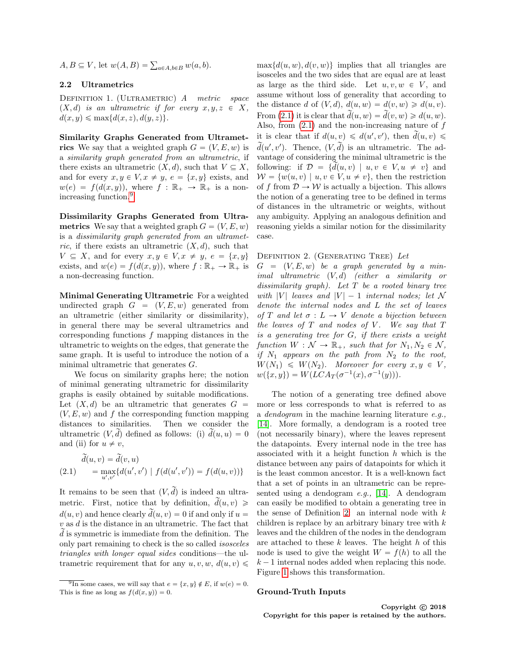$A, B \subseteq V$ , let  $w(A, B) = \sum_{a \in A, b \in B} w(a, b)$ .

#### <span id="page-5-0"></span>2.2 Ultrametrics

DEFINITION 1. (ULTRAMETRIC) A metric space  $(X, d)$  is an ultrametric if for every  $x, y, z \in X$ ,  $d(x, y) \leq \max\{d(x, z), d(y, z)\}.$ 

Similarity Graphs Generated from Ultrametrics We say that a weighted graph  $G = (V, E, w)$  is a similarity graph generated from an ultrametric, if there exists an ultrametric  $(X, d)$ , such that  $V \subseteq X$ , and for every  $x, y \in V, x \neq y, e = \{x, y\}$  exists, and  $w(e) = f(d(x, y))$ , where  $f : \mathbb{R}_+ \to \mathbb{R}_+$  is a nonincreasing function.[9](#page-0-0)

Dissimilarity Graphs Generated from Ultra**metrics** We say that a weighted graph  $G = (V, E, w)$ is a dissimilarity graph generated from an ultrametric, if there exists an ultrametric  $(X, d)$ , such that  $V \subseteq X$ , and for every  $x, y \in V, x \neq y, e = \{x, y\}$ exists, and  $w(e) = f(d(x, y))$ , where  $f : \mathbb{R}_+ \to \mathbb{R}_+$  is a non-decreasing function.

Minimal Generating Ultrametric For a weighted undirected graph  $G = (V, E, w)$  generated from an ultrametric (either similarity or dissimilarity), in general there may be several ultrametrics and corresponding functions f mapping distances in the ultrametric to weights on the edges, that generate the same graph. It is useful to introduce the notion of a minimal ultrametric that generates G.

We focus on similarity graphs here; the notion of minimal generating ultrametric for dissimilarity graphs is easily obtained by suitable modifications. Let  $(X, d)$  be an ultrametric that generates  $G =$  $(V, E, w)$  and f the corresponding function mapping distances to similarities. Then we consider the ultrametric  $(V, d)$  defined as follows: (i)  $d(u, u) = 0$ and (ii) for  $u \neq v$ ,

<span id="page-5-1"></span>
$$
\widetilde{d}(u, v) = \widetilde{d}(v, u) \n= \max_{u', v'} \{ d(u', v') \mid f(d(u', v')) = f(d(u, v)) \}
$$

It remains to be seen that  $(V, \tilde{d})$  is indeed an ultrametric. First, notice that by definition,  $\tilde{d}(u, v) \geq$  $d(u, v)$  and hence clearly  $\tilde{d}(u, v) = 0$  if and only if  $u =$  $v$  as  $d$  is the distance in an ultrametric. The fact that  $d$  is symmetric is immediate from the definition. The only part remaining to check is the so called isosceles triangles with longer equal sides conditions—the ultrametric requirement that for any  $u, v, w, d(u, v) \leq$ 

 $\max\{d(u, w), d(v, w)\}\$ implies that all triangles are isosceles and the two sides that are equal are at least as large as the third side. Let  $u, v, w \in V$ , and assume without loss of generality that according to the distance d of  $(V, d)$ ,  $d(u, w) = d(v, w) \geq d(u, v)$ . From [\(2.1\)](#page-5-1) it is clear that  $\tilde{d}(u, w) = \tilde{d}(v, w) \geq d(u, w)$ . Also, from  $(2.1)$  and the non-increasing nature of  $f$ it is clear that if  $d(u, v) \leq d(u', v')$ , then  $\tilde{d}(u, v) \leq$  $\tilde{d}(u', v')$ . Thence,  $(V, \tilde{d})$  is an ultrametric. The advantage of considering the minimal ultrametric is the following: if  $\mathcal{D} = \{\tilde{d}(u, v) \mid u, v \in V, u \neq v\}$  and  $W = \{w(u, v) | u, v \in V, u \neq v\}$ , then the restriction of f from  $\mathcal{D} \to \mathcal{W}$  is actually a bijection. This allows the notion of a generating tree to be defined in terms of distances in the ultrametric or weights, without any ambiguity. Applying an analogous definition and reasoning yields a similar notion for the dissimilarity case.

#### <span id="page-5-2"></span>DEFINITION 2. (GENERATING TREE) Let

 $G = (V, E, w)$  be a graph generated by a minimal ultrametric  $(V, d)$  (either a similarity or dissimilarity graph). Let  $T$  be a rooted binary tree with |V| leaves and  $|V| - 1$  internal nodes; let N denote the internal nodes and L the set of leaves of T and let  $\sigma: L \to V$  denote a bijection between the leaves of  $T$  and nodes of  $V$ . We say that  $T$ is a generating tree for G, if there exists a weight function  $W : \mathcal{N} \to \mathbb{R}_+$ , such that for  $N_1, N_2 \in \mathcal{N}$ , if  $N_1$  appears on the path from  $N_2$  to the root,  $W(N_1) \leq W(N_2)$ . Moreover for every  $x, y \in V$ ,  $w({x, y}) = W(LCA_T(\sigma^{-1}(x), \sigma^{-1}(y))).$ 

The notion of a generating tree defined above more or less corresponds to what is referred to as a dendogram in the machine learning literature e.g., [\[14\]](#page-18-5). More formally, a dendogram is a rooted tree (not necessarily binary), where the leaves represent the datapoints. Every internal node in the tree has associated with it a height function  $h$  which is the distance between any pairs of datapoints for which it is the least common ancestor. It is a well-known fact that a set of points in an ultrametric can be represented using a dendogram  $e.g.,$  [\[14\]](#page-18-5). A dendogram can easily be modified to obtain a generating tree in the sense of Definition [2:](#page-5-2) an internal node with  $k$ children is replace by an arbitrary binary tree with  $k$ leaves and the children of the nodes in the dendogram are attached to these  $k$  leaves. The height  $h$  of this node is used to give the weight  $W = f(h)$  to all the  $k-1$  internal nodes added when replacing this node. Figure [1](#page-6-1) shows this transformation.

#### Ground-Truth Inputs

 $\overline{^{9}\text{In}}$  some cases, we will say that  $e = \{x, y\} \notin E$ , if  $w(e) = 0$ . This is fine as long as  $f(d(x, y)) = 0$ .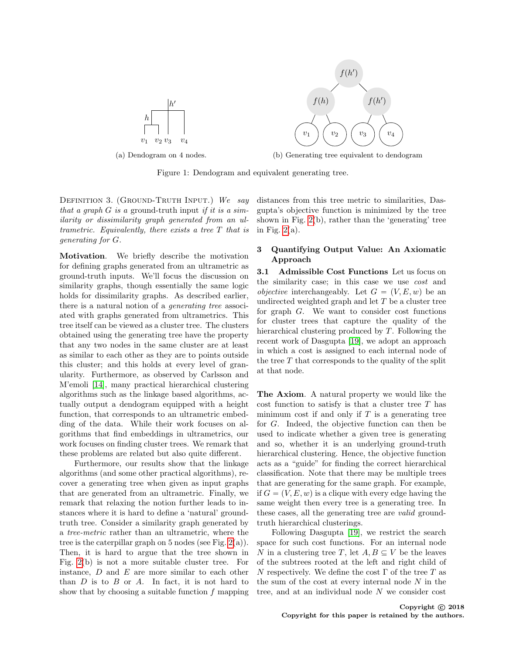<span id="page-6-1"></span>

Figure 1: Dendogram and equivalent generating tree.

DEFINITION 3. (GROUND-TRUTH INPUT.) We say that a graph  $G$  is a ground-truth input if it is a similarity or dissimilarity graph generated from an ultrametric. Equivalently, there exists a tree T that is generating for G.

Motivation. We briefly describe the motivation for defining graphs generated from an ultrametric as ground-truth inputs. We'll focus the discussion on similarity graphs, though essentially the same logic holds for dissimilarity graphs. As described earlier, there is a natural notion of a generating tree associated with graphs generated from ultrametrics. This tree itself can be viewed as a cluster tree. The clusters obtained using the generating tree have the property that any two nodes in the same cluster are at least as similar to each other as they are to points outside this cluster; and this holds at every level of granularity. Furthermore, as observed by Carlsson and M'emoli [\[14\]](#page-18-5), many practical hierarchical clustering algorithms such as the linkage based algorithms, actually output a dendogram equipped with a height function, that corresponds to an ultrametric embedding of the data. While their work focuses on algorithms that find embeddings in ultrametrics, our work focuses on finding cluster trees. We remark that these problems are related but also quite different.

Furthermore, our results show that the linkage algorithms (and some other practical algorithms), recover a generating tree when given as input graphs that are generated from an ultrametric. Finally, we remark that relaxing the notion further leads to instances where it is hard to define a 'natural' groundtruth tree. Consider a similarity graph generated by a tree-metric rather than an ultrametric, where the tree is the caterpillar graph on 5 nodes (see Fig.  $2(a)$ ). Then, it is hard to argue that the tree shown in Fig. [2\(](#page-7-1)b) is not a more suitable cluster tree. For instance,  $D$  and  $E$  are more similar to each other than  $D$  is to  $B$  or  $A$ . In fact, it is not hard to show that by choosing a suitable function  $f$  mapping distances from this tree metric to similarities, Dasgupta's objective function is minimized by the tree shown in Fig. [2\(](#page-7-1)b), rather than the 'generating' tree in Fig.  $2(a)$ .

## <span id="page-6-0"></span>3 Quantifying Output Value: An Axiomatic Approach

3.1 Admissible Cost Functions Let us focus on the similarity case; in this case we use cost and *objective* interchangeably. Let  $G = (V, E, w)$  be an undirected weighted graph and let  $T$  be a cluster tree for graph G. We want to consider cost functions for cluster trees that capture the quality of the hierarchical clustering produced by T. Following the recent work of Dasgupta [\[19\]](#page-19-0), we adopt an approach in which a cost is assigned to each internal node of the tree  $T$  that corresponds to the quality of the split at that node.

The Axiom. A natural property we would like the cost function to satisfy is that a cluster tree  $T$  has minimum cost if and only if  $T$  is a generating tree for G. Indeed, the objective function can then be used to indicate whether a given tree is generating and so, whether it is an underlying ground-truth hierarchical clustering. Hence, the objective function acts as a "guide" for finding the correct hierarchical classification. Note that there may be multiple trees that are generating for the same graph. For example, if  $G = (V, E, w)$  is a clique with every edge having the same weight then every tree is a generating tree. In these cases, all the generating tree are valid groundtruth hierarchical clusterings.

Following Dasgupta [\[19\]](#page-19-0), we restrict the search space for such cost functions. For an internal node N in a clustering tree T, let  $A, B \subseteq V$  be the leaves of the subtrees rooted at the left and right child of N respectively. We define the cost Γ of the tree T as the sum of the cost at every internal node  $N$  in the tree, and at an individual node N we consider cost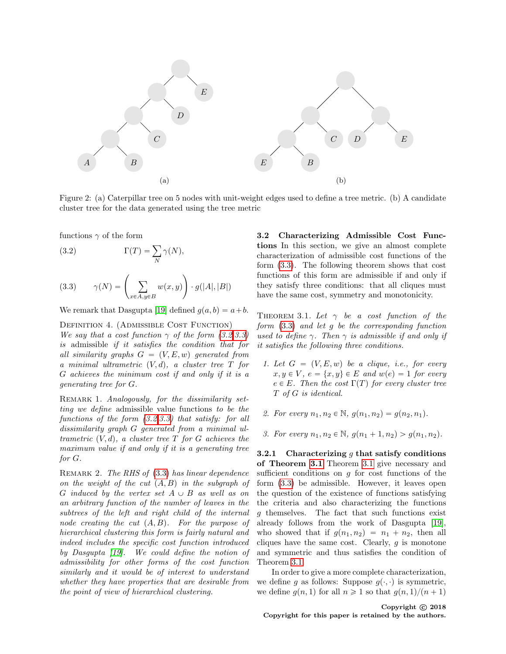<span id="page-7-1"></span>

Figure 2: (a) Caterpillar tree on 5 nodes with unit-weight edges used to define a tree metric. (b) A candidate cluster tree for the data generated using the tree metric

functions  $\gamma$  of the form

<span id="page-7-2"></span>(3.2) 
$$
\Gamma(T) = \sum_{N} \gamma(N),
$$

<span id="page-7-3"></span>(3.3) 
$$
\gamma(N) = \left(\sum_{x \in A, y \in B} w(x, y)\right) \cdot g(|A|, |B|)
$$

We remark that Dasgupta [\[19\]](#page-19-0) defined  $q(a, b) = a + b$ .

<span id="page-7-5"></span>DEFINITION 4. (ADMISSIBLE COST FUNCTION) We say that a cost function  $\gamma$  of the form [\(3.2,](#page-7-2)[3.3\)](#page-7-3) is admissible if it satisfies the condition that for all similarity graphs  $G = (V, E, w)$  generated from

a minimal ultrametric  $(V, d)$ , a cluster tree T for G achieves the minimum cost if and only if it is a generating tree for G.

<span id="page-7-4"></span>REMARK 1. Analogously, for the dissimilarity setting we define admissible value functions to be the functions of the form [\(3.2](#page-7-2)[,3.3\)](#page-7-3) that satisfy: for all dissimilarity graph G generated from a minimal ultrametric  $(V, d)$ , a cluster tree T for G achieves the maximum value if and only if it is a generating tree for G.

REMARK 2. The RHS of [\(3.3\)](#page-7-3) has linear dependence on the weight of the cut  $(A, B)$  in the subgraph of G induced by the vertex set  $A \cup B$  as well as on an arbitrary function of the number of leaves in the subtrees of the left and right child of the internal node creating the cut  $(A, B)$ . For the purpose of hierarchical clustering this form is fairly natural and indeed includes the specific cost function introduced by Dasgupta [\[19\]](#page-19-0). We could define the notion of admissibility for other forms of the cost function similarly and it would be of interest to understand whether they have properties that are desirable from the point of view of hierarchical clustering.

3.2 Characterizing Admissible Cost Functions In this section, we give an almost complete characterization of admissible cost functions of the form [\(3.3\)](#page-7-3). The following theorem shows that cost functions of this form are admissible if and only if they satisfy three conditions: that all cliques must have the same cost, symmetry and monotonicity.

<span id="page-7-0"></span>THEOREM 3.1. Let  $\gamma$  be a cost function of the form [\(3.3\)](#page-7-3) and let g be the corresponding function used to define  $\gamma$ . Then  $\gamma$  is admissible if and only if it satisfies the following three conditions.

- 1. Let  $G = (V, E, w)$  be a clique, i.e., for every  $x, y \in V$ ,  $e = \{x, y\} \in E$  and  $w(e) = 1$  for every  $e \in E$ . Then the cost  $\Gamma(T)$  for every cluster tree T of G is identical.
- 2. For every  $n_1, n_2 \in \mathbb{N}$ ,  $q(n_1, n_2) = q(n_2, n_1)$ .
- 3. For every  $n_1, n_2 \in \mathbb{N}$ ,  $g(n_1 + 1, n_2) > g(n_1, n_2)$ .

3.2.1 Characterizing  $g$  that satisfy conditions of Theorem [3.1](#page-7-0) Theorem [3.1](#page-7-0) give necessary and sufficient conditions on  $g$  for cost functions of the form [\(3.3\)](#page-7-3) be admissible. However, it leaves open the question of the existence of functions satisfying the criteria and also characterizing the functions g themselves. The fact that such functions exist already follows from the work of Dasgupta [\[19\]](#page-19-0), who showed that if  $g(n_1, n_2) = n_1 + n_2$ , then all cliques have the same cost. Clearly,  $q$  is monotone and symmetric and thus satisfies the condition of Theorem [3.1.](#page-7-0)

In order to give a more complete characterization, we define q as follows: Suppose  $q(\cdot, \cdot)$  is symmetric, we define  $q(n, 1)$  for all  $n \geq 1$  so that  $q(n, 1)/(n + 1)$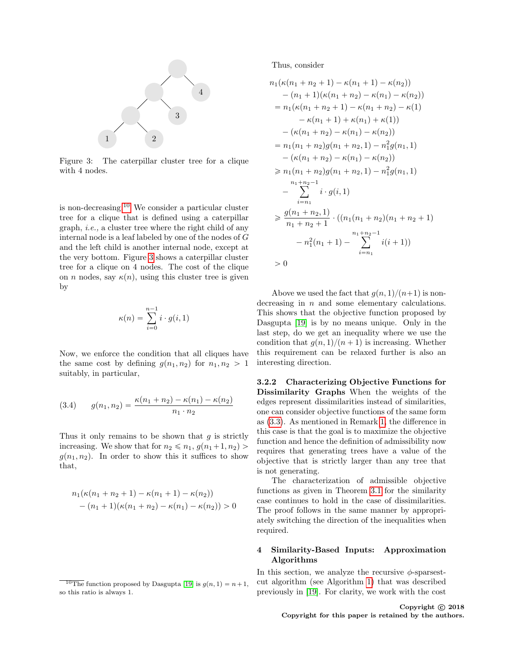<span id="page-8-1"></span>

Figure 3: The caterpillar cluster tree for a clique with 4 nodes.

is non-decreasing.[10](#page-0-0) We consider a particular cluster tree for a clique that is defined using a caterpillar graph, i.e., a cluster tree where the right child of any internal node is a leaf labeled by one of the nodes of G and the left child is another internal node, except at the very bottom. Figure [3](#page-8-1) shows a caterpillar cluster tree for a clique on 4 nodes. The cost of the clique on *n* nodes, say  $\kappa(n)$ , using this cluster tree is given by

$$
\kappa(n) = \sum_{i=0}^{n-1} i \cdot g(i, 1)
$$

Now, we enforce the condition that all cliques have the same cost by defining  $g(n_1, n_2)$  for  $n_1, n_2 > 1$ suitably, in particular,

(3.4) 
$$
g(n_1, n_2) = \frac{\kappa(n_1 + n_2) - \kappa(n_1) - \kappa(n_2)}{n_1 \cdot n_2}
$$

Thus it only remains to be shown that  $g$  is strictly increasing. We show that for  $n_2 \le n_1$ ,  $g(n_1+1, n_2)$  $g(n_1, n_2)$ . In order to show this it suffices to show that,

$$
n_1(\kappa(n_1 + n_2 + 1) - \kappa(n_1 + 1) - \kappa(n_2)) - (n_1 + 1)(\kappa(n_1 + n_2) - \kappa(n_1) - \kappa(n_2)) > 0
$$

Thus, consider

$$
n_1(\kappa(n_1 + n_2 + 1) - \kappa(n_1 + 1) - \kappa(n_2))
$$
  
\n
$$
- (n_1 + 1)(\kappa(n_1 + n_2) - \kappa(n_1) - \kappa(n_2))
$$
  
\n
$$
= n_1(\kappa(n_1 + n_2 + 1) - \kappa(n_1 + n_2) - \kappa(1)
$$
  
\n
$$
- \kappa(n_1 + 1) + \kappa(n_1) + \kappa(1))
$$
  
\n
$$
- (\kappa(n_1 + n_2) - \kappa(n_1) - \kappa(n_2))
$$
  
\n
$$
= n_1(n_1 + n_2)g(n_1 + n_2, 1) - n_1^2g(n_1, 1)
$$
  
\n
$$
- (\kappa(n_1 + n_2) - \kappa(n_1) - \kappa(n_2))
$$
  
\n
$$
\ge n_1(n_1 + n_2)g(n_1 + n_2, 1) - n_1^2g(n_1, 1)
$$
  
\n
$$
n_1 + n_2 - 1
$$
  
\n
$$
- \sum_{i=n_1}^{n_1 + n_2 + 1} i \cdot (n_1(n_1 + n_2)(n_1 + n_2 + 1)
$$
  
\n
$$
- n_1^2(n_1 + 1) - \sum_{i=n_1}^{n_1 + n_2 - 1} i(i + 1)
$$
  
\n
$$
= 0
$$

Above we used the fact that  $g(n, 1)/(n+1)$  is nondecreasing in *n* and some elementary calculations. This shows that the objective function proposed by Dasgupta [\[19\]](#page-19-0) is by no means unique. Only in the last step, do we get an inequality where we use the condition that  $g(n, 1)/(n + 1)$  is increasing. Whether this requirement can be relaxed further is also an interesting direction.

3.2.2 Characterizing Objective Functions for Dissimilarity Graphs When the weights of the edges represent dissimilarities instead of similarities, one can consider objective functions of the same form as [\(3.3\)](#page-7-3). As mentioned in Remark [1,](#page-7-4) the difference in this case is that the goal is to maximize the objective function and hence the definition of admissibility now requires that generating trees have a value of the objective that is strictly larger than any tree that is not generating.

The characterization of admissible objective functions as given in Theorem [3.1](#page-7-0) for the similarity case continues to hold in the case of dissimilarities. The proof follows in the same manner by appropriately switching the direction of the inequalities when required.

## <span id="page-8-0"></span>4 Similarity-Based Inputs: Approximation Algorithms

In this section, we analyze the recursive  $\phi$ -sparsestcut algorithm (see Algorithm [1\)](#page-9-1) that was described previously in [\[19\]](#page-19-0). For clarity, we work with the cost

<sup>&</sup>lt;sup>10</sup>The function proposed by Dasgupta [\[19\]](#page-19-0) is  $g(n, 1) = n+1$ , so this ratio is always 1.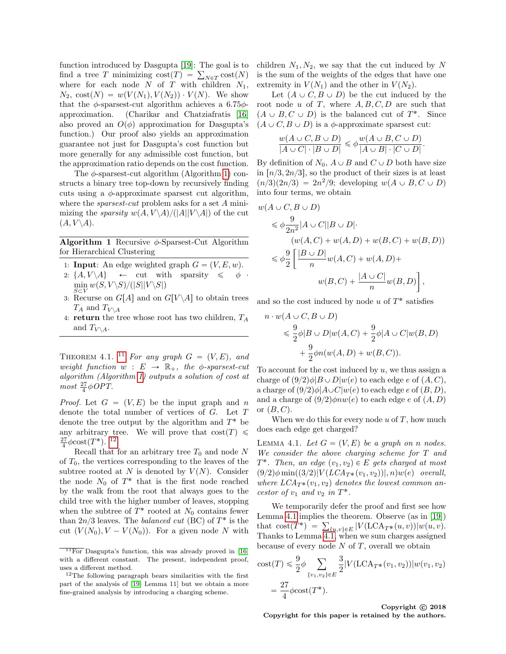function introduced by Dasgupta [\[19\]](#page-19-0): The goal is to function introduced by Dasgupta [19]: The goal is to find a tree T minimizing  $cost(T) = \sum_{N \in T} cost(N)$ where for each node  $N$  of  $T$  with children  $N_1$ ,  $N_2$ ,  $cost(N) = w(V(N_1), V(N_2)) \cdot V(N)$ . We show that the  $\phi$ -sparsest-cut algorithm achieves a 6.75 $\phi$ approximation. (Charikar and Chatziafratis [\[16\]](#page-18-0) also proved an  $O(\phi)$  approximation for Dasgupta's function.) Our proof also yields an approximation guarantee not just for Dasgupta's cost function but more generally for any admissible cost function, but the approximation ratio depends on the cost function.

The  $\phi$ -sparsest-cut algorithm (Algorithm [1\)](#page-9-1) constructs a binary tree top-down by recursively finding cuts using a  $\phi$ -approximate sparsest cut algorithm, where the *sparsest-cut* problem asks for a set A minimizing the sparsity  $w(A, V \setminus A) / (|A||V \setminus A|)$  of the cut  $(A, V \backslash A).$ 

<span id="page-9-1"></span> $\overline{\text{Algorithm}}$  1 Recursive  $\phi$ -Sparsest-Cut Algorithm for Hierarchical Clustering

- 1: **Input:** An edge weighted graph  $G = (V, E, w)$ .
- 2:  $\{A, V \setminus A\}$   $\leftarrow$  cut with sparsity  $\leq \phi$ .  $\min_{S \subset V} w(S, V \backslash S) / (|S||V \backslash S|)$
- 3: Recurse on  $G[A]$  and on  $G[V\backslash A]$  to obtain trees  $T_A$  and  $T_{V \setminus A}$
- 4: return the tree whose root has two children,  $T_A$ and  $T_{V\setminus A}$ .

<span id="page-9-0"></span>THEOREM 4.1. <sup>[11](#page-0-0)</sup> For any graph  $G = (V, E)$ , and weight function  $w : E \rightarrow \mathbb{R}_+$ , the  $\phi$ -sparsest-cut algorithm (Algorithm [1\)](#page-9-1) outputs a solution of cost at  $most \frac{27}{4} \phi OPT$ .

*Proof.* Let  $G = (V, E)$  be the input graph and n denote the total number of vertices of G. Let T denote the tree output by the algorithm and  $T^*$  be any arbitrary tree. We will prove that  $cost(T) \leq$  $\frac{27}{4}\phi \text{cost}(T^*)$ . <sup>[12](#page-0-0)</sup>

Recall that for an arbitrary tree  $T_0$  and node  $N$ of  $T_0$ , the vertices corresponding to the leaves of the subtree rooted at N is denoted by  $V(N)$ . Consider the node  $N_0$  of  $T^*$  that is the first node reached by the walk from the root that always goes to the child tree with the higher number of leaves, stopping when the subtree of  $T^*$  rooted at  $N_0$  contains fewer than  $2n/3$  leaves. The *balanced cut* (BC) of  $T^*$  is the cut  $(V(N_0), V - V(N_0))$ . For a given node N with children  $N_1, N_2$ , we say that the cut induced by N is the sum of the weights of the edges that have one extremity in  $V(N_1)$  and the other in  $V(N_2)$ .

Let  $(A \cup C, B \cup D)$  be the cut induced by the root node  $u$  of  $T$ , where  $A, B, C, D$  are such that  $(A \cup B, C \cup D)$  is the balanced cut of  $T^*$ . Since  $(A \cup C, B \cup D)$  is a  $\phi$ -approximate sparsest cut:

$$
\frac{w(A \cup C, B \cup D)}{|A \cup C| \cdot |B \cup D|} \leq \phi \frac{w(A \cup B, C \cup D)}{|A \cup B| \cdot |C \cup D|}.
$$

By definition of  $N_0$ ,  $A \cup B$  and  $C \cup D$  both have size in  $\lceil n/3, 2n/3 \rceil$ , so the product of their sizes is at least  $(n/3)(2n/3) = 2n^2/9$ ; developing  $w(A \cup B, C \cup D)$ into four terms, we obtain

$$
w(A \cup C, B \cup D)
$$
  
\n
$$
\leq \phi \frac{9}{2n^2} |A \cup C||B \cup D|
$$
  
\n
$$
(w(A, C) + w(A, D) + w(B, C) + w(B, D))
$$
  
\n
$$
\leq \phi \frac{9}{2} \left[ \frac{|B \cup D|}{n} w(A, C) + w(A, D) + \frac{|A \cup C|}{n} w(B, D) \right],
$$

and so the cost induced by node  $u$  of  $T^*$  satisfies

$$
n \cdot w(A \cup C, B \cup D)
$$
  
\$\leq \frac{9}{2}\phi|B \cup D|w(A, C) + \frac{9}{2}\phi|A \cup C|w(B, D)\$  
\$+ \frac{9}{2}\phi n(w(A, D) + w(B, C)).\$

To account for the cost induced by  $u$ , we thus assign a charge of  $(9/2)\phi|B \cup D|w(e)$  to each edge e of  $(A, C)$ , a charge of  $(9/2)\phi$ |A $\cup$ C|w(e) to each edge e of  $(B, D)$ , and a charge of  $(9/2)\phi n w(e)$  to each edge e of  $(A, D)$ or  $(B, C)$ .

<span id="page-9-2"></span>When we do this for every node  $u$  of  $T$ , how much does each edge get charged?

LEMMA 4.1. Let  $G = (V, E)$  be a graph on n nodes. We consider the above charging scheme for T and  $T^*$ . Then, an edge  $(v_1, v_2) \in E$  gets charged at most  $p(9/2)\phi \min((3/2)|V(LCA_{T^*}(v_1, v_2))|, n)w(e)$  overall, where  $LCA_{T*}(v_1, v_2)$  denotes the lowest common ancestor of  $v_1$  and  $v_2$  in  $T^*$ .

We temporarily defer the proof and first see how Lemma [4.1](#page-9-2) implies the theorem. Observe (as in [\[19\]](#page-19-0)) Lemma 4.1 implies the theorem. Observe (as in [19])<br>that  $\text{cost}(T^*) = \sum_{\{u,v\} \in E} |V(\text{LCA}_{T^*}(u, v))| w(u, v).$ Thanks to Lemma [4.1,](#page-9-2) when we sum charges assigned because of every node  $N$  of  $T$ , overall we obtain

cost
$$
(T) \le \frac{9}{2}\phi \sum_{\{v_1, v_2\} \in E} \frac{3}{2} |V(\text{LCA}_{T^*}(v_1, v_2))| w(v_1, v_2)
$$
  
=  $\frac{27}{4}\phi \text{cost}(T^*).$ 

Copyright  $\odot$  2018 Copyright for this paper is retained by the authors.

 $\overline{11}$  For Dasgupta's function, this was already proved in [\[16\]](#page-18-0) with a different constant. The present, independent proof, uses a different method.

<sup>12</sup>The following paragraph bears similarities with the first part of the analysis of [\[19,](#page-19-0) Lemma 11] but we obtain a more fine-grained analysis by introducing a charging scheme.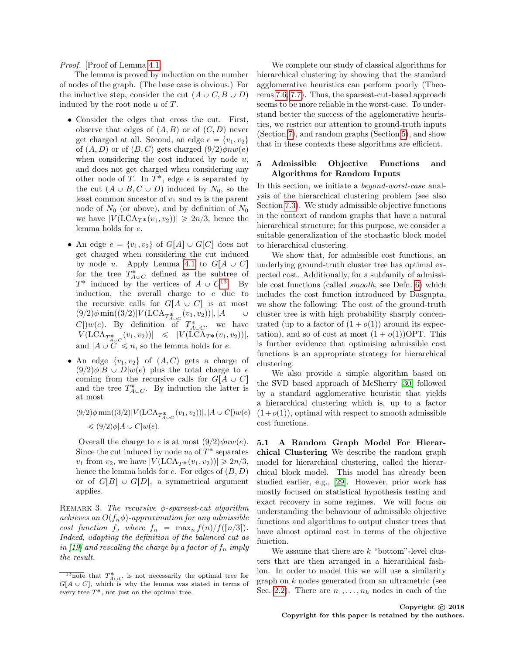Proof. [Proof of Lemma [4.1\]](#page-9-2)

The lemma is proved by induction on the number of nodes of the graph. (The base case is obvious.) For the inductive step, consider the cut  $(A \cup C, B \cup D)$ induced by the root node u of T.

- Consider the edges that cross the cut. First, observe that edges of  $(A, B)$  or of  $(C, D)$  never get charged at all. Second, an edge  $e = \{v_1, v_2\}$ of  $(A, D)$  or of  $(B, C)$  gets charged  $(9/2)\phi n w(e)$ when considering the cost induced by node  $u$ , and does not get charged when considering any other node of  $T$ . In  $T^*$ , edge  $e$  is separated by the cut  $(A \cup B, C \cup D)$  induced by  $N_0$ , so the least common ancestor of  $v_1$  and  $v_2$  is the parent node of  $N_0$  (or above), and by definition of  $N_0$ we have  $|V(\text{LCA}_{T^*}(v_1, v_2))| \geq 2n/3$ , hence the lemma holds for e.
- An edge  $e = \{v_1, v_2\}$  of  $G[A] \cup G[C]$  does not get charged when considering the cut induced by node u. Apply Lemma [4.1](#page-9-2) to  $G[A \cup C]$ for the tree  $T^*_{A\cup C}$  defined as the subtree of  $T^*$  induced by the vertices of  $A \cup C^{13}$  $A \cup C^{13}$  $A \cup C^{13}$ . By induction, the overall charge to e due to the recursive calls for  $G[A \cup C]$  is at most  $(9/2)\phi \min((3/2)|V(\text{LCA}_{T^*_{4\cup C}}(v_1, v_2))|, |A \quad \cup$  $C||w(e)$ . By definition of  $T^*_{A\cup C}$ , we have  $|V(\text{LCA}_{T_{A\cup C}^*}(v_1, v_2))| \leq |V(\text{LCA}_{T^*}(v_1, v_2))|,$ and  $|A \cup \overline{C}| \leq n$ , so the lemma holds for e.
- An edge  $\{v_1, v_2\}$  of  $(A, C)$  gets a charge of  $(9/2)\phi|B \cup D|w(e)$  plus the total charge to e coming from the recursive calls for  $G[A \cup C]$ and the tree  $T_{A\cup C}^*$ . By induction the latter is at most

$$
(9/2)\phi \min((3/2)|V(\text{LCA}_{T_{A\cup C}^*}(v_1, v_2))|, |A \cup C|)w(e)
$$
  

$$
\leq (9/2)\phi|A \cup C|w(e).
$$

Overall the charge to e is at most  $(9/2)\phi n w(e)$ . Since the cut induced by node  $u_0$  of  $T^*$  separates  $v_1$  from  $v_2$ , we have  $|V(\text{LCA}_{T^*}(v_1, v_2))| \geq 2n/3$ , hence the lemma holds for  $e$ . For edges of  $(B, D)$ or of  $G[B] \cup G[D]$ , a symmetrical argument applies.

REMARK 3. The recursive  $\phi$ -sparsest-cut algorithm achieves an  $O(f_n\phi)$ -approximation for any admissible cost function f, where  $f_n = \max_{n} f(n)/f(\lceil n/3 \rceil)$ . Indeed, adapting the definition of the balanced cut as in [\[19\]](#page-19-0) and rescaling the charge by a factor of  $f_n$  imply the result.

We complete our study of classical algorithms for hierarchical clustering by showing that the standard agglomerative heuristics can perform poorly (Theorems [7.6,](#page-17-1) [7.7\)](#page-18-18). Thus, the sparsest-cut-based approach seems to be more reliable in the worst-case. To understand better the success of the agglomerative heuristics, we restrict our attention to ground-truth inputs (Section [7\)](#page-15-1), and random graphs (Section [5\)](#page-10-0), and show that in these contexts these algorithms are efficient.

## <span id="page-10-0"></span>5 Admissible Objective Functions and Algorithms for Random Inputs

In this section, we initiate a beyond-worst-case analysis of the hierarchical clustering problem (see also Section [7.3\)](#page-17-2). We study admissible objective functions in the context of random graphs that have a natural hierarchical structure; for this purpose, we consider a suitable generalization of the stochastic block model to hierarchical clustering.

We show that, for admissible cost functions, an underlying ground-truth cluster tree has optimal expected cost. Additionally, for a subfamily of admissible cost functions (called smooth, see Defn. [6\)](#page-12-1) which includes the cost function introduced by Dasgupta, we show the following: The cost of the ground-truth cluster tree is with high probability sharply concentrated (up to a factor of  $(1 + o(1))$ ) around its expectation), and so of cost at most  $(1 + o(1))$ OPT. This is further evidence that optimising admissible cost functions is an appropriate strategy for hierarchical clustering.

We also provide a simple algorithm based on the SVD based approach of McSherry [\[30\]](#page-19-16) followed by a standard agglomerative heuristic that yields a hierarchical clustering which is, up to a factor  $(1+o(1))$ , optimal with respect to smooth admissible cost functions.

5.1 A Random Graph Model For Hierarchical Clustering We describe the random graph model for hierarchical clustering, called the hierarchical block model. This model has already been studied earlier, e.g., [\[29\]](#page-19-17). However, prior work has mostly focused on statistical hypothesis testing and exact recovery in some regimes. We will focus on understanding the behaviour of admissible objective functions and algorithms to output cluster trees that have almost optimal cost in terms of the objective function.

We assume that there are  $k$  "bottom"-level clusters that are then arranged in a hierarchical fashion. In order to model this we will use a similarity graph on k nodes generated from an ultrametric (see Sec. [2.2\)](#page-5-0). There are  $n_1, \ldots, n_k$  nodes in each of the

 $\frac{13}{13}$  not  $T^*_{A\cup C}$  is not necessarily the optimal tree for  $G[A \cup C]$ , which is why the lemma was stated in terms of every tree  $T^*$ , not just on the optimal tree.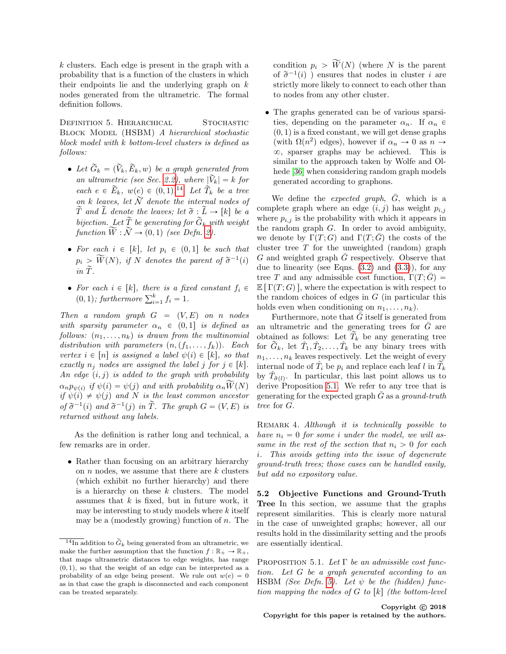k clusters. Each edge is present in the graph with a probability that is a function of the clusters in which their endpoints lie and the underlying graph on  $k$ nodes generated from the ultrametric. The formal definition follows.

<span id="page-11-0"></span>DEFINITION 5. HIERARCHICAL STOCHASTIC Block Model (HSBM) A hierarchical stochastic block model with k bottom-level clusters is defined as follows:

- Let  $\widetilde{G}_k = (\widetilde{V}_k, \widetilde{E}_k, w)$  be a graph generated from an ultrametric (see Sec. [2.2\)](#page-5-0), where  $|\widetilde{V}_k| = k$  for each  $e \in \widetilde{E}_k$ ,  $w(e) \in (0, 1)$ .<sup>[14](#page-0-0)</sup> Let  $\widetilde{T}_k$  be a tree on k leaves, let  $\widetilde{\mathcal{N}}$  denote the internal nodes of  $\widetilde{T}$  and  $\widetilde{L}$  denote the leaves; let  $\widetilde{\sigma} : \widetilde{L} \rightarrow [k]$  be a bijection. Let  $\widetilde{T}$  be generating for  $\widetilde{G}_k$  with weight function  $\widetilde{W} : \widetilde{\mathcal{N}} \to (0,1)$  (see Defn. [2\)](#page-5-2).
- For each  $i \in [k]$ , let  $p_i \in (0, 1]$  be such that  $p_i > \widetilde{W}(N)$ , if N denotes the parent of  $\widetilde{\sigma}^{-1}(i)$  $in \ \widetilde{T}$ .
- For each  $i \in [k]$ , there is a fixed constant  $f_i \in (0, 1)$ ; furthermore  $\sum_{i=1}^k f_i = 1$ .

Then a random graph  $G = (V, E)$  on n nodes with sparsity parameter  $\alpha_n \in (0, 1]$  is defined as follows:  $(n_1, \ldots, n_k)$  is drawn from the multinomial distribution with parameters  $(n,(f_1, \ldots, f_k))$ . Each vertex  $i \in [n]$  is assigned a label  $\psi(i) \in [k]$ , so that exactly  $n_i$  nodes are assigned the label j for  $j \in [k]$ . An edge  $(i, j)$  is added to the graph with probability  $\alpha_n p_{\psi(i)}$  if  $\psi(i) = \psi(j)$  and with probability  $\alpha_n \widetilde{W}(N)$ if  $\psi(i) \neq \psi(j)$  and N is the least common ancestor of  $\tilde{\sigma}^{-1}(i)$  and  $\tilde{\sigma}^{-1}(j)$  in  $\tilde{T}$ . The graph  $G = (V, E)$  is returned without any labels.

As the definition is rather long and technical, a few remarks are in order.

• Rather than focusing on an arbitrary hierarchy on  $n$  nodes, we assume that there are  $k$  clusters (which exhibit no further hierarchy) and there is a hierarchy on these  $k$  clusters. The model assumes that  $k$  is fixed, but in future work, it may be interesting to study models where  $k$  itself may be a (modestly growing) function of  $n$ . The

condition  $p_i > \widetilde{W}(N)$  (where N is the parent of  $\tilde{\sigma}^{-1}(i)$ ) ensures that nodes in cluster i are strictly more likely to connect to each other than to nodes from any other cluster.

• The graphs generated can be of various sparsities, depending on the parameter  $\alpha_n$ . If  $\alpha_n \in$  $(0, 1)$  is a fixed constant, we will get dense graphs (with  $\Omega(n^2)$  edges), however if  $\alpha_n \to 0$  as  $n \to \infty$  $\infty$ , sparser graphs may be achieved. This is similar to the approach taken by Wolfe and Olhede [\[36\]](#page-19-18) when considering random graph models generated according to graphons.

We define the *expected graph*,  $\overline{G}$ , which is a complete graph where an edge  $(i, j)$  has weight  $p_{i,j}$ where  $p_{i,j}$  is the probability with which it appears in the random graph G. In order to avoid ambiguity, we denote by  $\Gamma(T; G)$  and  $\Gamma(T; \overline{G})$  the costs of the cluster tree  $T$  for the unweighted (random) graph G and weighted graph  $\bar{G}$  respectively. Observe that due to linearity (see Eqns.  $(3.2)$  and  $(3.3)$ ), for any tree T and any admissible cost function,  $\Gamma(T; \bar{G}) =$  $\mathbb{E}[\Gamma(T; G)]$ , where the expectation is with respect to the random choices of edges in  $G$  (in particular this holds even when conditioning on  $n_1, \ldots, n_k$ .

Furthermore, note that  $\bar{G}$  itself is generated from an ultrametric and the generating trees for  $\overline{G}$  are obtained as follows: Let  $\widetilde{T}_k$  be any generating tree for  $\tilde{G}_k$ , let  $\hat{T}_1, \hat{T}_2, \ldots, \hat{T}_k$  be any binary trees with  $n_1, \ldots, n_k$  leaves respectively. Let the weight of every internal node of  $\hat{T}_i$  be  $p_i$  and replace each leaf l in  $\hat{T}_k$ by  $\hat{T}_{\tilde{\sigma}(l)}$ . In particular, this last point allows us to derive Proposition [5.1.](#page-11-1) We refer to any tree that is generating for the expected graph  $G$  as a ground-truth tree for G.

REMARK 4. Although it is technically possible to have  $n_i = 0$  for some i under the model, we will assume in the rest of the section that  $n_i > 0$  for each i. This avoids getting into the issue of degenerate ground-truth trees; those cases can be handled easily, but add no expository value.

5.2 Objective Functions and Ground-Truth Tree In this section, we assume that the graphs represent similarities. This is clearly more natural in the case of unweighted graphs; however, all our results hold in the dissimilarity setting and the proofs are essentially identical.

<span id="page-11-1"></span>PROPOSITION 5.1. Let  $\Gamma$  be an admissible cost function. Let G be a graph generated according to an HSBM (See Defn. [5\)](#page-11-0). Let  $\psi$  be the (hidden) function mapping the nodes of G to  $\lceil k \rceil$  (the bottom-level

 $\frac{14}{14}$ In addition to  $\widetilde{G}_k$  being generated from an ultrametric, we make the further assumption that the function  $f : \mathbb{R}_+ \to \mathbb{R}_+$ , that maps ultrametric distances to edge weights, has range  $(0, 1)$ , so that the weight of an edge can be interpreted as a probability of an edge being present. We rule out  $w(e) = 0$ as in that case the graph is disconnected and each component can be treated separately.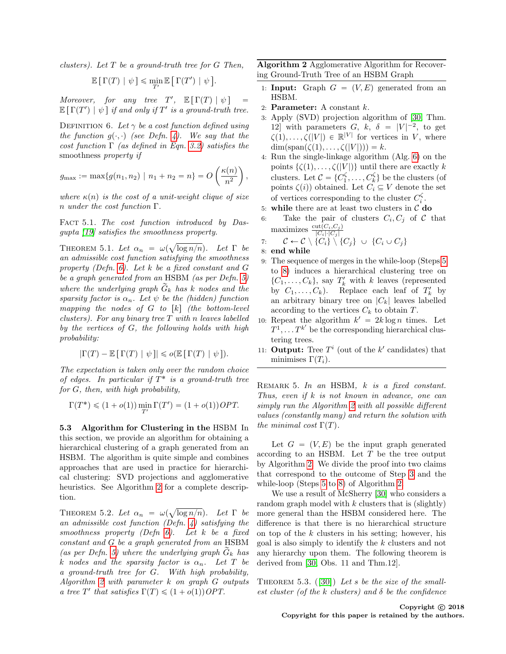clusters). Let  $T$  be a ground-truth tree for  $G$  Then, ‰

$$
\mathbb{E}\left[\left.\Gamma(T)\;\right|\;\psi\right] \leqslant \min_{T'}\mathbb{E}\left[\left.\Gamma(T')\;\right|\;\psi\right]
$$

.

Moreover, for any tree  $T'$ ,  $\mathbb{E}[\Gamma(T) | \psi] =$  $\mathbb{E}[\Gamma(T') \mid \psi]$  if and only if  $T'$  is a ground-truth tree.

<span id="page-12-1"></span>DEFINITION 6. Let  $\gamma$  be a cost function defined using the function  $g(\cdot, \cdot)$  (see Defn. [4\)](#page-7-5). We say that the cost function  $\Gamma$  (as defined in Eqn. [3.2\)](#page-7-2) satisfies the smoothness property if

$$
g_{\max}
$$
 := max{ $g(n_1, n_2)$  |  $n_1 + n_2 = n$ } =  $O\left(\frac{\kappa(n)}{n^2}\right)$ ,

where  $\kappa(n)$  is the cost of a unit-weight clique of size n under the cost function Γ.

FACT 5.1. The cost function introduced by Dasgupta [\[19\]](#page-19-0) satisfies the smoothness property.

THEOREM 5.1. Let  $\alpha_n = \omega(\sqrt{\log n/n})$ . Let  $\Gamma$  be an admissible cost function satisfying the smoothness property (Defn.  $6$ ). Let k be a fixed constant and G be a graph generated from an HSBM (as per Defn. [5\)](#page-11-0) where the underlying graph  $\tilde{G}_k$  has k nodes and the sparsity factor is  $\alpha_n$ . Let  $\psi$  be the (hidden) function mapping the nodes of  $G$  to  $[k]$  (the bottom-level clusters). For any binary tree  $T$  with n leaves labelled by the vertices of G, the following holds with high probability:

$$
|\Gamma(T) - \mathbb{E}[\Gamma(T) | \psi] | \leqslant o(\mathbb{E}[\Gamma(T) | \psi]).
$$

The expectation is taken only over the random choice of edges. In particular if  $T^*$  is a ground-truth tree for G, then, with high probability,

$$
\Gamma(T^*) \leq (1 + o(1)) \min_{T'} \Gamma(T') = (1 + o(1)) OPT.
$$

5.3 Algorithm for Clustering in the HSBM In this section, we provide an algorithm for obtaining a hierarchical clustering of a graph generated from an HSBM. The algorithm is quite simple and combines approaches that are used in practice for hierarchical clustering: SVD projections and agglomerative heuristics. See Algorithm [2](#page-12-2) for a complete description.

<span id="page-12-0"></span>THEOREM 5.2. Let  $\alpha_n = \omega$  $\log n/n$ ). Let  $\Gamma$  be an admissible cost function  $(Defn. 4)$  $(Defn. 4)$  satisfying the smoothness property  $(Defn 6)$  $(Defn 6)$ . Let k be a fixed constant and G be a graph generated from an HSBM (as per Defn. [5\)](#page-11-0) where the underlying graph  $\tilde{G}_k$  has k nodes and the sparsity factor is  $\alpha_n$ . Let T be a ground-truth tree for G. With high probability, Algorithm [2](#page-12-2) with parameter k on graph G outputs a tree T' that satisfies  $\Gamma(T) \leq (1 + o(1))$  OPT.

<span id="page-12-2"></span>Algorithm 2 Agglomerative Algorithm for Recovering Ground-Truth Tree of an HSBM Graph

- 1: **Input:** Graph  $G = (V, E)$  generated from an HSBM.
- 2: **Parameter:** A constant  $k$ .
- 3: Apply (SVD) projection algorithm of [\[30,](#page-19-16) Thm. 12] with parameters G, k,  $\delta = |V|^{-2}$ , to get  $\zeta(1), \ldots, \zeta(|V|) \in \mathbb{R}^{|V|}$  for vertices in V, where  $\dim(\text{span}(\zeta(1), \ldots, \zeta(|V|))) = k.$
- 4: Run the single-linkage algorithm (Alg. [6\)](#page-15-2) on the points  $\{\zeta(1), \ldots, \zeta(|V|)\}\$  until there are exactly k clusters. Let  $\mathcal{C} = \{C_1^{\zeta}, \ldots, C_k^{\zeta}\}\$  be the clusters (of points  $\zeta(i)$  obtained. Let  $C_i \subseteq V$  denote the set of vertices corresponding to the cluster  $C_i^{\zeta}$ .
- 5: while there are at least two clusters in  $\mathcal C$  do
- 6: Take the pair of clusters  $C_i, C_j$  of C that maximizes  $\frac{\text{cut}(C_i, C_j)}{|C_i| \cdot |C_j|}$
- 7:  $C \leftarrow C \setminus \{C_i\} \setminus \{C_j\} \cup \{C_i \cup C_j\}$
- 8: end while
- 9: The sequence of merges in the while-loop (Steps [5](#page-12-2) to [8\)](#page-12-2) induces a hierarchical clustering tree on  $\{C_1, \ldots, C_k\}$ , say  $T'_k$  with k leaves (represented by  $C_1, \ldots, C_k$ ). Replace each leaf of  $T'_k$  by an arbitrary binary tree on  $|C_k|$  leaves labelled according to the vertices  $C_k$  to obtain T.
- 10: Repeat the algorithm  $k' = 2k \log n$  times. Let  $T^1, \ldots T^{k'}$  be the corresponding hierarchical clustering trees.
- 11: **Output:** Tree  $T^i$  (out of the k' candidates) that minimises  $\Gamma(T_i)$ .

REMARK 5. In an HSBM, k is a fixed constant. Thus, even if k is not known in advance, one can simply run the Algorithm [2](#page-12-2) with all possible different values (constantly many) and return the solution with the minimal cost  $\Gamma(T)$ .

Let  $G = (V, E)$  be the input graph generated according to an HSBM. Let  $T$  be the tree output by Algorithm [2.](#page-12-2) We divide the proof into two claims that correspond to the outcome of Step [3](#page-12-2) and the while-loop (Steps [5](#page-12-2) to [8\)](#page-12-2) of Algorithm [2.](#page-12-2)

We use a result of McSherry [\[30\]](#page-19-16) who considers a random graph model with  $k$  clusters that is (slightly) more general than the HSBM considered here. The difference is that there is no hierarchical structure on top of the k clusters in his setting; however, his goal is also simply to identify the k clusters and not any hierarchy upon them. The following theorem is derived from [\[30,](#page-19-16) Obs. 11 and Thm.12].

<span id="page-12-3"></span>THEOREM 5.3.  $([30])$  $([30])$  $([30])$  Let s be the size of the smallest cluster (of the k clusters) and  $\delta$  be the confidence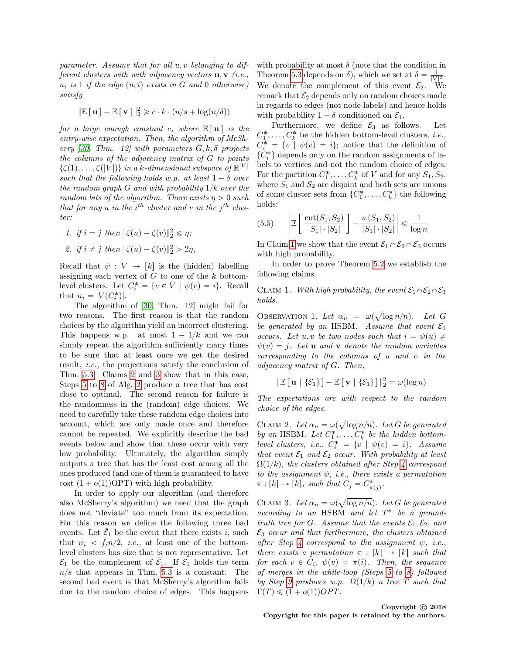parameter. Assume that for all u, v belonging to different clusters with with adjacency vectors  $\mathbf{u}, \mathbf{v}$  (i.e.,  $u_i$  is 1 if the edge  $(u, i)$  exists in G and 0 otherwise) satisfy

$$
\|\mathbb{E}\left[\,\mathbf{u}\,\right]-\mathbb{E}\left[\,\mathbf{v}\,\right]\|_2^2 \geqslant c\cdot k\cdot (n/s+\log (n/\delta))
$$

for a large enough constant c, where  $\mathbb{E}[\mathbf{u}]$  is the entry-wise expectation. Then, the algorithm of McSh-erry [\[30,](#page-19-16) Thm. 12] with parameters  $G, k, \delta$  projects the columns of the adjacency matrix of G to points  $\{\zeta(1), \ldots, \zeta(|V|)\}$  in a k-dimensional subspace of  $\mathbb{R}^{|V|}$ such that the following holds w.p. at least  $1 - \delta$  over the random graph  $G$  and with probability  $1/k$  over the random bits of the algorithm. There exists  $\eta > 0$  such that for any u in the i<sup>th</sup> cluster and v in the j<sup>th</sup> cluster:

1. if  $i = j$  then  $\|\zeta(u) - \zeta(v)\|_2^2 \leq \eta$ ; 2. if  $i \neq j$  then  $\|\zeta(u) - \zeta(v)\|_2^2 > 2\eta$ ,

Recall that  $\psi: V \to [k]$  is the (hidden) labelling assigning each vertex of  $G$  to one of the  $k$  bottomlevel clusters. Let  $C_i^* = \{v \in V \mid \psi(v) = i\}$ . Recall that  $n_i = |V(C_i^*)|$ .

The algorithm of [\[30,](#page-19-16) Thm. 12] might fail for two reasons. The first reason is that the random choices by the algorithm yield an incorrect clustering. This happens w.p. at most  $1 - 1/k$  and we can simply repeat the algorithm sufficiently many times to be sure that at least once we get the desired result, i.e., the projections satisfy the conclusion of Thm. [5.3.](#page-12-3) Claims [2](#page-13-0) and [3](#page-13-1) show that in this case, Steps [5](#page-12-2) to [8](#page-12-2) of Alg. [2](#page-12-2) produce a tree that has cost close to optimal. The second reason for failure is the randomness in the (random) edge choices. We need to carefully take these random edge choices into account, which are only made once and therefore cannot be repeated. We explicitly describe the bad events below and show that these occur with very low probability. Ultimately, the algorithm simply outputs a tree that has the least cost among all the ones produced (and one of them is guaranteed to have cost  $(1 + o(1))$  OPT) with high probability.

In order to apply our algorithm (and therefore also McSherry's algorithm) we need that the graph does not "deviate" too much from its expectation. For this reason we define the following three bad events. Let  $\bar{\mathcal{E}}_1$  be the event that there exists *i*, such that  $n_i \leq f_i n/2$ , *i.e.*, at least one of the bottomlevel clusters has size that is not representative. Let  $\mathcal{E}_1$  be the complement of  $\bar{\mathcal{E}}_1$ . If  $\bar{\mathcal{E}}_1$  holds the term  $n/s$  that appears in Thm. [5.3](#page-12-3) is a constant. The second bad event is that McSherry's algorithm fails due to the random choice of edges. This happens with probability at most  $\delta$  (note that the condition in Theorem [5.3](#page-12-3) depends on  $\delta$ , which we set at  $\delta = \frac{1}{|V|^2}$ . We denote the complement of this event  $\mathcal{E}_2$ . We remark that  $\mathcal{E}_2$  depends only on random choices made in regards to edges (not node labels) and hence holds with probability  $1 - \delta$  conditioned on  $\mathcal{E}_1$ .

Furthermore, we define  $\mathcal{E}_3$  as follows. Let  $C_1^*, \ldots, C_k^*$  be the hidden bottom-level clusters, *i.e.*,  $C_i^* = \{v \mid \psi(v) = i\};$  notice that the definition of  $\{C_i^*\}$  depends only on the random assignments of labels to vertices and not the random choice of edges. For the partition  $C_1^*, \ldots, C_k^*$  of V and for any  $S_1, S_2$ , where  $S_1$  and  $S_2$  are disjoint and both sets are unions of some cluster sets from  $\{C_1^*, \ldots, C_k^*\}$  the following holds: "  $\overline{a}$ 

$$
(5.5) \qquad \left| {\mathbb E}\left[\left.\frac{\text{cut}(S_1,S_2)}{|S_1|\cdot|S_2|}\right.\right]-\frac{w(S_1,S_2)}{|S_1|\cdot|S_2|}\right|\leqslant \frac{1}{\log n}
$$

In Claim [1](#page-13-2) we show that the event  $\mathcal{E}_1 \cap \mathcal{E}_2 \cap \mathcal{E}_3$  occurs with high probability.

In order to prove Theorem [5.2](#page-12-0) we establish the following claims.

<span id="page-13-2"></span>CLAIM 1. With high probability, the event  $\mathcal{E}_1 \cap \mathcal{E}_2 \cap \mathcal{E}_3$ holds. a

OBSERVATION 1. Let  $\alpha_n = \omega(\sqrt{\log n/n})$ . Let G be generated by an HSBM. Assume that event  $\mathcal{E}_1$ occurs. Let u, v be two nodes such that  $i = \psi(u) \neq$  $\psi(v) = j$ . Let **u** and **v** denote the random variables corresponding to the columns of u and v in the adjacency matrix of G. Then,

$$
\|\mathbb{E}\left[\!\begin{array}{c|c} \mathbf{u} & \hat{\xi_1} \end{array}\!\right]\!-\!\mathbb{E}\left[\!\begin{array}{c|c} \mathbf{v} & \hat{\xi_1} \end{array}\!\right]\|^2_2 = \omega(\log n)
$$

The expectations are with respect to the random choice of the edges.

<span id="page-13-0"></span>CLAIM 2. Let  $\alpha_n = \omega(\sqrt{\log n/n})$ . Let G be generated by an HSBM. Let  $C_1^*, \ldots, C_k^*$  be the hidden bottomlevel clusters, i.e.,  $C_i^* = \{v \mid \psi(v) = i\}$ . Assume that event  $\mathcal{E}_1$  and  $\mathcal{E}_2$  occur. With probability at least  $\Omega(1/k)$ , the clusters obtained after Step [4](#page-12-2) correspond to the assignment  $\psi$ , *i.e.*, there exists a permutation  $\pi : [k] \to [k]$ , such that  $C_j = C^*_{\pi(j)}$ .

<span id="page-13-1"></span>CLAIM 3. Let  $\alpha_n = \omega$  $\log n/n$ ). Let G be generated according to an HSBM and let  $T^*$  be a groundtruth tree for G. Assume that the events  $\mathcal{E}_1, \mathcal{E}_2$ , and  $\mathcal{E}_3$  occur and that furthermore, the clusters obtained after Step [4](#page-12-2) correspond to the assignment  $\psi$ , i.e., there exists a permutation  $\pi : [k] \rightarrow [k]$  such that for each  $v \in C_i$ ,  $\psi(v) = \pi(i)$ . Then, the sequence of merges in the while-loop (Steps [5](#page-12-2) to [8\)](#page-12-2) followed by Step [9](#page-12-2) produces w.p.  $\Omega(1/k)$  a tree T such that  $\Gamma(T) \leq (1 + o(1)) OPT$ .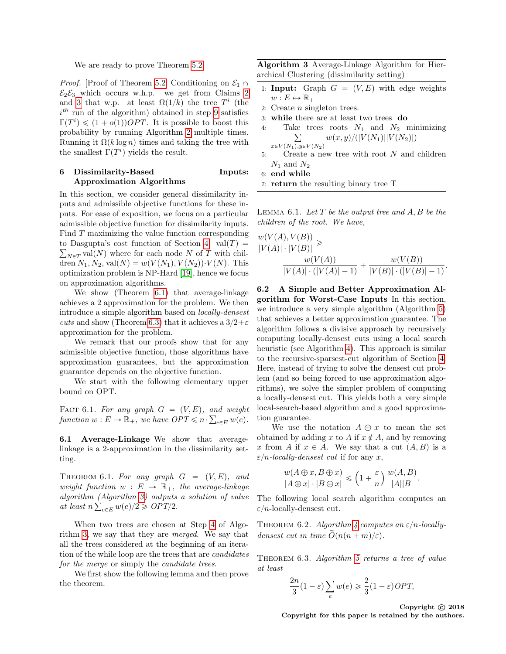We are ready to prove Theorem [5.2.](#page-12-0)

*Proof.* [Proof of Theorem [5.2\]](#page-12-0) Conditioning on  $\mathcal{E}_1 \cap$  $\mathcal{E}_2 \mathcal{E}_3$  which occurs w.h.p. we get from Claims [2](#page-13-0) and [3](#page-13-1) that w.p. at least  $\Omega(1/k)$  the tree T<sup>i</sup> (the  $i<sup>th</sup>$  run of the algorithm) obtained in step [9](#page-12-2) satisfies  $\Gamma(T^i) \leq (1 + o(1)) OPT$ . It is possible to boost this probability by running Algorithm [2](#page-12-2) multiple times. Running it  $\Omega(k \log n)$  times and taking the tree with the smallest  $\Gamma(T^i)$  yields the result.

## 6 Dissimilarity-Based Inputs: Approximation Algorithms

In this section, we consider general dissimilarity inputs and admissible objective functions for these inputs. For ease of exposition, we focus on a particular admissible objective function for dissimilarity inputs. Find T maximizing the value function corresponding to Dasgupta's cost function of Section [4:](#page-8-0)  $val(T) =$  $N \in T$  val $(N)$  where for each node N of T with children  $N_1, N_2$ , val $(N) = w(V(N_1), V(N_2)) \cdot V(N)$ . This optimization problem is NP-Hard [\[19\]](#page-19-0), hence we focus on approximation algorithms.

We show (Theorem [6.1\)](#page-14-1) that average-linkage achieves a 2 approximation for the problem. We then introduce a simple algorithm based on locally-densest cuts and show (Theorem [6.3\)](#page-14-2) that it achieves a  $3/2+\varepsilon$ approximation for the problem.

We remark that our proofs show that for any admissible objective function, those algorithms have approximation guarantees, but the approximation guarantee depends on the objective function.

We start with the following elementary upper bound on OPT.

FACT 6.1. For any graph  $G = (V, E)$ , and weight function  $w: E \to \mathbb{R}_+$ , we have  $OPT \leqslant n \cdot \sum_{e \in E} w(e)$ .

<span id="page-14-1"></span>6.1 Average-Linkage We show that averagelinkage is a 2-approximation in the dissimilarity setting.

THEOREM 6.1. For any graph  $G = (V, E)$ , and weight function  $w : E \to \mathbb{R}_+$ , the average-linkage  $algorithm (Algorithm 3) outputs a solution of value$  $algorithm (Algorithm 3) outputs a solution of value$  $algorithm (Algorithm 3) outputs a solution of value$ at least  $n \sum_{e \in E} w(e)/2 \geqslant OPT/2$ .

When two trees are chosen at Step [4](#page-14-0) of Algorithm [3,](#page-14-0) we say that they are merged. We say that all the trees considered at the beginning of an iteration of the while loop are the trees that are candidates for the merge or simply the candidate trees.

We first show the following lemma and then prove the theorem.

<span id="page-14-0"></span>Algorithm 3 Average-Linkage Algorithm for Hierarchical Clustering (dissimilarity setting)

- 1: **Input:** Graph  $G = (V, E)$  with edge weights  $w: E \mapsto \mathbb{R}_+$
- 2: Create n singleton trees.
- 3: while there are at least two trees do
- 4: Take trees roots  $N_1$  and  $N_2$  minimizing  $x \in V(N_1), y \in V(N_2)$  $w(x, y)/(|V(N_1)||V(N_2)|)$
- 5: Create a new tree with root  $N$  and children  $N_1$  and  $N_2$

6: end while

7: return the resulting binary tree T

LEMMA 6.1. Let  $T$  be the output tree and  $A, B$  be the children of the root. We have,

$$
\frac{w(V(A), V(B))}{|V(A)| \cdot |V(B)|} \ge \frac{w(V(A))}{|V(A)| \cdot (|V(A)| - 1)} + \frac{w(V(B))}{|V(B)| \cdot (|V(B)| - 1)}.
$$

6.2 A Simple and Better Approximation Algorithm for Worst-Case Inputs In this section, we introduce a very simple algorithm (Algorithm [5\)](#page-15-3) that achieves a better approximation guarantee. The algorithm follows a divisive approach by recursively computing locally-densest cuts using a local search heuristic (see Algorithm [4\)](#page-15-4). This approach is similar to the recursive-sparsest-cut algorithm of Section [4.](#page-8-0) Here, instead of trying to solve the densest cut problem (and so being forced to use approximation algorithms), we solve the simpler problem of computing a locally-densest cut. This yields both a very simple local-search-based algorithm and a good approximation guarantee.

We use the notation  $A \oplus x$  to mean the set obtained by adding x to A if  $x \notin A$ , and by removing x from A if  $x \in A$ . We say that a cut  $(A, B)$  is a  $\varepsilon/n$ -locally-densest cut if for any x,

$$
\frac{w(A \oplus x, B \oplus x)}{|A \oplus x| \cdot |B \oplus x|} \le \left(1 + \frac{\varepsilon}{n}\right) \frac{w(A, B)}{|A||B|}.
$$

The following local search algorithm computes an  $\varepsilon/n$ -locally-densest cut.

THEOREM 6.2. Algorithm [4](#page-15-4) computes an  $\varepsilon/n$ -locallydensest cut in time  $\tilde{O}(n(n+m)/\varepsilon)$ .

<span id="page-14-2"></span>THEOREM 6.3. Algorithm [5](#page-15-3) returns a tree of value at least

$$
\frac{2n}{3}(1-\varepsilon)\sum_{e}w(e) \ge \frac{2}{3}(1-\varepsilon)OPT,
$$

Copyright  $\odot$  2018 Copyright for this paper is retained by the authors.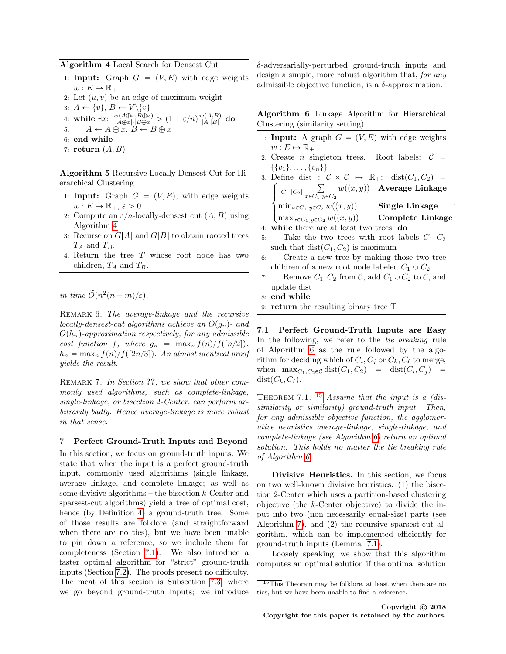#### <span id="page-15-4"></span>Algorithm 4 Local Search for Densest Cut

1: **Input:** Graph  $G = (V, E)$  with edge weights  $w: E \mapsto \mathbb{R}_+$ 2: Let  $(u, v)$  be an edge of maximum weight 3:  $A \leftarrow \{v\}, B \leftarrow V \setminus \{v\}$ 4: while  $\exists x: \frac{w(A \oplus x, B \oplus x)}{|A \oplus x| \cdot |B \oplus x|} > (1 + \varepsilon/n) \frac{w(A,B)}{|A||B|}$  $\frac{\partial (A,B)}{|A||B|}$  do 5:  $A \leftarrow A \oplus x, B \leftarrow B \oplus x$ 6: end while

7: return  $(A, B)$ 

<span id="page-15-3"></span>Algorithm 5 Recursive Locally-Densest-Cut for Hierarchical Clustering

- 1: **Input:** Graph  $G = (V, E)$ , with edge weights  $w: E \mapsto \mathbb{R}_+, \varepsilon > 0$
- 2: Compute an  $\varepsilon/n$ -locally-densest cut  $(A, B)$  using Algorithm [4](#page-15-4)
- 3: Recurse on  $G[A]$  and  $G[B]$  to obtain rooted trees  $T_A$  and  $T_B$ .
- 4: Return the tree T whose root node has two children,  $T_A$  and  $T_B$ .

in time  $\tilde{O}(n^2(n+m)/\varepsilon)$ .

REMARK 6. The average-linkage and the recursive locally-densest-cut algorithms achieve an  $O(q_n)$ - and  $O(h_n)$ -approximation respectively, for any admissible cost function f, where  $g_n = \max_n f(n)/f(\lfloor n/2 \rfloor)$ .  $h_n = \max_n f(n)/f([2n/3]).$  An almost identical proof yields the result.

REMARK 7. In Section ??, we show that other commonly used algorithms, such as complete-linkage, single-linkage, or bisection 2-Center, can perform arbitrarily badly. Hence average-linkage is more robust in that sense.

#### <span id="page-15-1"></span>7 Perfect Ground-Truth Inputs and Beyond

In this section, we focus on ground-truth inputs. We state that when the input is a perfect ground-truth input, commonly used algorithms (single linkage, average linkage, and complete linkage; as well as some divisive algorithms – the bisection  $k$ -Center and sparsest-cut algorithms) yield a tree of optimal cost, hence (by Definition [4\)](#page-7-5) a ground-truth tree. Some of those results are folklore (and straightforward when there are no ties), but we have been unable to pin down a reference, so we include them for completeness (Section [7.1\)](#page-15-5). We also introduce a faster optimal algorithm for "strict" ground-truth inputs (Section [7.2\)](#page-16-3). The proofs present no difficulty. The meat of this section is Subsection [7.3,](#page-17-2) where we go beyond ground-truth inputs; we introduce

δ-adversarially-perturbed ground-truth inputs and design a simple, more robust algorithm that, for any admissible objective function, is a  $\delta$ -approximation.

<span id="page-15-5"></span><span id="page-15-2"></span>Algorithm 6 Linkage Algorithm for Hierarchical Clustering (similarity setting)

- 1: **Input:** A graph  $G = (V, E)$  with edge weights  $w: E \mapsto \mathbb{R}_+$
- 2: Create *n* singleton trees. Root labels:  $C =$  $\{\{v_1\}, \ldots, \{v_n\}\}\$

3: Define dist :  $C \times C \rightarrow \mathbb{R}_+$ : dist $(C_1, C_2)$  =  $\left[\frac{1}{|C_1||C_2|}\right]$  $\left( \begin{array}{c} \end{array} \right)$ ř  $x \in C_1, y \in C_2$  $w((x, y))$  Average Linkage  $\min_{x \in C_1, y \in C_2} w((x, y))$  Single Linkage  $\max_{x \in C_1, y \in C_2} w(x, y)$  Complete Linkage 4: while there are at least two trees do

.

- 5: Take the two trees with root labels  $C_1, C_2$ such that  $dist(C_1, C_2)$  is maximum
- 6: Create a new tree by making those two tree children of a new root node labeled  $C_1 \cup C_2$
- 7: Remove  $C_1, C_2$  from  $\mathcal{C}$ , add  $C_1 \cup C_2$  to  $\mathcal{C}$ , and update dist
- 8: end while
- 9: return the resulting binary tree T

7.1 Perfect Ground-Truth Inputs are Easy In the following, we refer to the *tie breaking* rule of Algorithm [6](#page-15-2) as the rule followed by the algorithm for deciding which of  $C_i$ ,  $C_j$  or  $C_k$ ,  $C_\ell$  to merge, when  $\max_{C_1, C_2 \in \mathcal{C}} \text{dist}(C_1, C_2) = \text{dist}(C_i, C_j) =$  $dist(C_k, C_\ell)$ .

<span id="page-15-0"></span>THEOREM 7.1.  $15$  Assume that the input is a (dissimilarity or similarity) ground-truth input. Then, for any admissible objective function, the agglomerative heuristics average-linkage, single-linkage, and complete-linkage (see Algorithm [6\)](#page-15-2) return an optimal solution. This holds no matter the tie breaking rule of Algorithm [6.](#page-15-2)

Divisive Heuristics. In this section, we focus on two well-known divisive heuristics: (1) the bisection 2-Center which uses a partition-based clustering objective (the k-Center objective) to divide the input into two (non necessarily equal-size) parts (see Algorithm [7\)](#page-16-4), and (2) the recursive sparsest-cut algorithm, which can be implemented efficiently for ground-truth inputs (Lemma [7.1\)](#page-16-5).

Loosely speaking, we show that this algorithm computes an optimal solution if the optimal solution

<sup>&</sup>lt;sup>15</sup>This Theorem may be folklore, at least when there are no ties, but we have been unable to find a reference.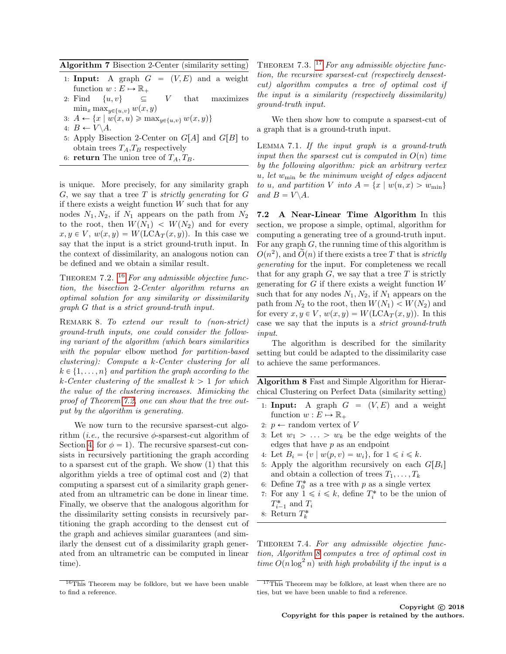<span id="page-16-4"></span>

| Algorithm 7 Bisection 2-Center (similarity setting) |  |  |  |  |  |  |  |  |
|-----------------------------------------------------|--|--|--|--|--|--|--|--|
|-----------------------------------------------------|--|--|--|--|--|--|--|--|

- 1: **Input:** A graph  $G = (V, E)$  and a weight function  $w : E \mapsto \mathbb{R}_+$
- 2: Find  $\{u, v\}$   $\subseteq$   $V$  that maximizes  $\min_x \max_{y \in \{u, v\}} w(x, y)$
- 3:  $A \leftarrow \{x \mid w(x, u) \geq \max_{y \in \{u, v\}} w(x, y)\}$
- 4:  $B \leftarrow V \backslash A$ .
- 5: Apply Bisection 2-Center on  $G[A]$  and  $G[B]$  to obtain trees  $T_A, T_B$  respectively
- 6: return The union tree of  $T_A, T_B$ .

is unique. More precisely, for any similarity graph  $G$ , we say that a tree T is *strictly generating* for  $G$ if there exists a weight function  $W$  such that for any nodes  $N_1, N_2$ , if  $N_1$  appears on the path from  $N_2$ to the root, then  $W(N_1) < W(N_2)$  and for every  $x, y \in V$ ,  $w(x, y) = W(LCA_T(x, y))$ . In this case we say that the input is a strict ground-truth input. In the context of dissimilarity, an analogous notion can be defined and we obtain a similar result.

<span id="page-16-0"></span>THEOREM 7.2. <sup>[16](#page-0-0)</sup> For any admissible objective function, the bisection 2-Center algorithm returns an optimal solution for any similarity or dissimilarity graph G that is a strict ground-truth input.

REMARK 8. To extend our result to (non-strict) ground-truth inputs, one could consider the following variant of the algorithm (which bears similarities with the popular elbow method for partition-based clustering): Compute a k-Center clustering for all  $k \in \{1, \ldots, n\}$  and partition the graph according to the k-Center clustering of the smallest  $k > 1$  for which the value of the clustering increases. Mimicking the proof of Theorem [7.2,](#page-16-0) one can show that the tree output by the algorithm is generating.

We now turn to the recursive sparsest-cut algorithm (*i.e.*, the recursive  $\phi$ -sparsest-cut algorithm of Section [4,](#page-8-0) for  $\phi = 1$ ). The recursive sparsest-cut consists in recursively partitioning the graph according to a sparsest cut of the graph. We show (1) that this algorithm yields a tree of optimal cost and (2) that computing a sparsest cut of a similarity graph generated from an ultrametric can be done in linear time. Finally, we observe that the analogous algorithm for the dissimilarity setting consists in recursively partitioning the graph according to the densest cut of the graph and achieves similar guarantees (and similarly the densest cut of a dissimilarity graph generated from an ultrametric can be computed in linear time).

THEOREM 7.3.  $^{17}$  $^{17}$  $^{17}$  For any admissible objective function, the recursive sparsest-cut (respectively densestcut) algorithm computes a tree of optimal cost if the input is a similarity (respectively dissimilarity) ground-truth input.

We then show how to compute a sparsest-cut of a graph that is a ground-truth input.

<span id="page-16-5"></span>Lemma 7.1. If the input graph is a ground-truth input then the sparsest cut is computed in  $O(n)$  time by the following algorithm: pick an arbitrary vertex  $u$ , let  $w_{\min}$  be the minimum weight of edges adjacent to u, and partition V into  $A = \{x \mid w(u, x) > w_{\min}\}\$ and  $B = V \backslash A$ .

<span id="page-16-3"></span>7.2 A Near-Linear Time Algorithm In this section, we propose a simple, optimal, algorithm for computing a generating tree of a ground-truth input. For any graph  $G$ , the running time of this algorithm is  $O(n^2)$ , and  $\widetilde{O}(n)$  if there exists a tree T that is *strictly* generating for the input. For completeness we recall that for any graph  $G$ , we say that a tree T is strictly generating for  $G$  if there exists a weight function  $W$ such that for any nodes  $N_1, N_2$ , if  $N_1$  appears on the path from  $N_2$  to the root, then  $W(N_1) < W(N_2)$  and for every  $x, y \in V$ ,  $w(x, y) = W(LCA_T(x, y))$ . In this case we say that the inputs is a strict ground-truth input.

The algorithm is described for the similarity setting but could be adapted to the dissimilarity case to achieve the same performances.

<span id="page-16-6"></span>Algorithm 8 Fast and Simple Algorithm for Hierarchical Clustering on Perfect Data (similarity setting)

- 1: **Input:** A graph  $G = (V, E)$  and a weight function  $w : E \mapsto \mathbb{R}_+$
- 2:  $p \leftarrow$  random vertex of V
- 3: Let  $w_1 > \ldots > w_k$  be the edge weights of the edges that have  $p$  as an endpoint
- 4: Let  $B_i = \{v \mid w(p, v) = w_i\}$ , for  $1 \le i \le k$ .
- 5: Apply the algorithm recursively on each  $G[B_i]$ and obtain a collection of trees  $T_1, \ldots, T_k$
- 6: Define  $T_0^*$  as a tree with p as a single vertex
- 7: For any  $1 \leq i \leq k$ , define  $T_i^*$  to be the union of  $T_{i-1}^*$  and  $T_i$
- 8: Return  $T_k^*$

<span id="page-16-2"></span>THEOREM 7.4. For any admissible objective function, Algorithm [8](#page-16-6) computes a tree of optimal cost in time  $O(n \log^2 n)$  with high probability if the input is a

<span id="page-16-1"></span><sup>&</sup>lt;sup>16</sup>This Theorem may be folklore, but we have been unable to find a reference.

<sup>&</sup>lt;sup>17</sup>This Theorem may be folklore, at least when there are no ties, but we have been unable to find a reference.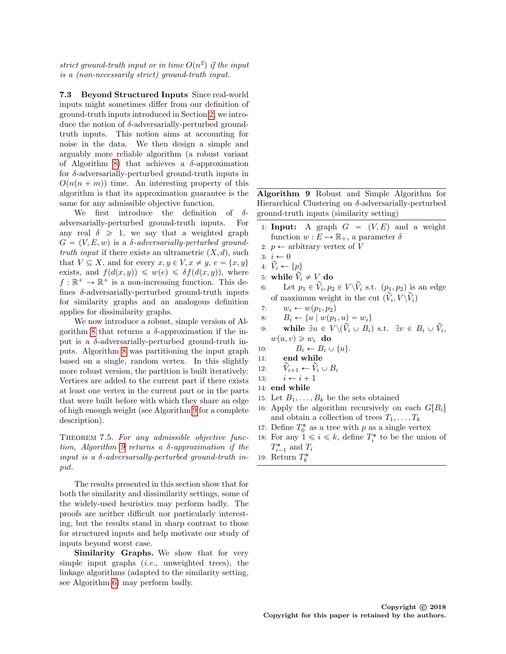strict ground-truth input or in time  $O(n^2)$  if the input is a (non-necessarily strict) ground-truth input.

<span id="page-17-2"></span>7.3 Beyond Structured Inputs Since real-world inputs might sometimes differ from our definition of ground-truth inputs introduced in Section [2,](#page-4-0) we introduce the notion of δ-adversarially-perturbed groundtruth inputs. This notion aims at accounting for noise in the data. We then design a simple and arguably more reliable algorithm (a robust variant of Algorithm [8\)](#page-16-6) that achieves a  $\delta$ -approximation for  $\delta$ -adversarially-perturbed ground-truth inputs in  $O(n(n+m))$  time. An interesting property of this algorithm is that its approximation guarantee is the same for any admissible objective function.

We first introduce the definition of  $\delta$ adversarially-perturbed ground-truth inputs. For any real  $\delta \geq 1$ , we say that a weighted graph  $G = (V, E, w)$  is a  $\delta$ -adversarially-perturbed groundtruth input if there exists an ultrametric  $(X, d)$ , such that  $V \subseteq X$ , and for every  $x, y \in V, x \neq y, e = \{x, y\}$ exists, and  $f(d(x, y)) \leq w(e) \leq \delta f(d(x, y))$ , where  $f: \mathbb{R}^+ \to \mathbb{R}^+$  is a non-increasing function. This defines  $\delta$ -adversarially-perturbed ground-truth inputs for similarity graphs and an analogous definition applies for dissimilarity graphs.

We now introduce a robust, simple version of Al-gorithm [8](#page-16-6) that returns a  $\delta$ -approximation if the input is a  $\delta$ -adversarially-perturbed ground-truth inputs. Algorithm [8](#page-16-6) was partitioning the input graph based on a single, random vertex. In this slightly more robust version, the partition is built iteratively: Vertices are added to the current part if there exists at least one vertex in the current part or in the parts that were built before with which they share an edge of high enough weight (see Algorithm [9](#page-17-3) for a complete description).

<span id="page-17-0"></span>THEOREM 7.5. For any admissible objective func-tion, Algorithm [9](#page-17-3) returns a  $\delta$ -approximation if the input is a  $\delta$ -adversarially-perturbed ground-truth input.

The results presented in this section show that for both the similarity and dissimilarity settings, some of the widely-used heuristics may perform badly. The proofs are neither difficult nor particularly interesting, but the results stand in sharp contrast to those for structured inputs and help motivate our study of inputs beyond worst case.

<span id="page-17-1"></span>Similarity Graphs. We show that for very simple input graphs  $(i.e.,$  unweighted trees), the linkage algorithms (adapted to the similarity setting, see Algorithm [6\)](#page-15-2) may perform badly.

<span id="page-17-3"></span>Algorithm 9 Robust and Simple Algorithm for Hierarchical Clustering on  $\delta$ -adversarially-perturbed ground-truth inputs (similarity setting)

- 1: **Input:** A graph  $G = (V, E)$  and a weight function  $w : E \mapsto \mathbb{R}_+$ , a parameter  $\delta$
- 2:  $p \leftarrow$  arbitrary vertex of V
- $3: i \leftarrow 0$
- 4:  $\widetilde{V}_i \leftarrow \{p\}$
- 5: while  $\widetilde{V}_i \neq V$  do
- 6: Let  $p_1 \in \widetilde{V}_i$ ,  $p_2 \in V \backslash \widetilde{V}_i$  s.t.  $(p_1, p_2)$  is an edge of maximum weight in the cut  $(\widetilde{V}_i, V \backslash \widetilde{V}_i)$
- 7:  $w_i \leftarrow w(p_1, p_2)$

$$
8: \qquad B_i \leftarrow \{u \mid w(p_1, u) = w_i\}
$$

- 9: while  $\exists u \in V \setminus (\widetilde{V}_i \cup B_i)$  s.t.  $\exists v \in B_i \cup \widetilde{V}_i$ ,  $w(u, v) \geq w_i$  do
- 10:  $B_i \leftarrow B_i \cup \{u\}.$
- 11: end while
- 12:  $\widetilde{V}_{i+1} \leftarrow \widetilde{V}_i \cup B_i$
- 13:  $i \leftarrow i + 1$
- 14: end while
- 15: Let  $B_1, \ldots, B_k$  be the sets obtained
- 16: Apply the algorithm recursively on each  $G[B_i]$ and obtain a collection of trees  $T_1, \ldots, T_k$
- 17: Define  $T_0^*$  as a tree with p as a single vertex
- 18: For any  $1 \leq i \leq k$ , define  $T_i^*$  to be the union of  $T_{i-1}^*$  and  $T_i$
- 19: Return  $T_k^*$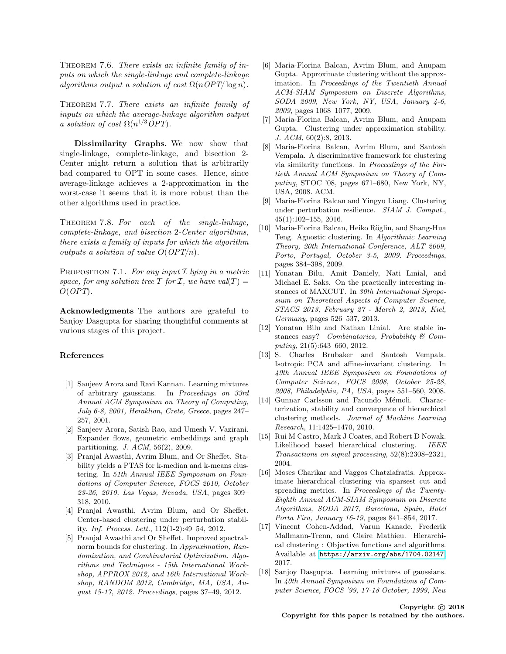THEOREM 7.6. There exists an infinite family of inputs on which the single-linkage and complete-linkage algorithms output a solution of cost  $\Omega(nOPT/\log n)$ .

<span id="page-18-18"></span>THEOREM 7.7. There exists an infinite family of inputs on which the average-linkage algorithm output a solution of cost  $\Omega(n^{1/3}OPT)$ .

Dissimilarity Graphs. We now show that single-linkage, complete-linkage, and bisection 2- Center might return a solution that is arbitrarily bad compared to OPT in some cases. Hence, since average-linkage achieves a 2-approximation in the worst-case it seems that it is more robust than the other algorithms used in practice.

THEOREM 7.8. For each of the single-linkage, complete-linkage, and bisection 2-Center algorithms, there exists a family of inputs for which the algorithm outputs a solution of value  $O(OPT/n)$ .

PROPOSITION 7.1. For any input  $\mathcal I$  lying in a metric space, for any solution tree T for I, we have val $(T)$  =  $O(OPT)$ .

Acknowledgments The authors are grateful to Sanjoy Dasgupta for sharing thoughtful comments at various stages of this project.

### References

- <span id="page-18-12"></span>[1] Sanjeev Arora and Ravi Kannan. Learning mixtures of arbitrary gaussians. In Proceedings on 33rd Annual ACM Symposium on Theory of Computing, July 6-8, 2001, Heraklion, Crete, Greece, pages 247– 257, 2001.
- <span id="page-18-1"></span>[2] Sanjeev Arora, Satish Rao, and Umesh V. Vazirani. Expander flows, geometric embeddings and graph partitioning. J. ACM, 56(2), 2009.
- <span id="page-18-16"></span>[3] Pranjal Awasthi, Avrim Blum, and Or Sheffet. Stability yields a PTAS for k-median and k-means clustering. In 51th Annual IEEE Symposium on Foundations of Computer Science, FOCS 2010, October 23-26, 2010, Las Vegas, Nevada, USA, pages 309– 318, 2010.
- <span id="page-18-9"></span>[4] Pranjal Awasthi, Avrim Blum, and Or Sheffet. Center-based clustering under perturbation stability. Inf. Process. Lett., 112(1-2):49–54, 2012.
- <span id="page-18-17"></span>[5] Pranjal Awasthi and Or Sheffet. Improved spectralnorm bounds for clustering. In *Approximation*, Randomization, and Combinatorial Optimization. Algorithms and Techniques - 15th International Workshop, APPROX 2012, and 16th International Workshop, RANDOM 2012, Cambridge, MA, USA, August 15-17, 2012. Proceedings, pages 37–49, 2012.
- <span id="page-18-11"></span>[6] Maria-Florina Balcan, Avrim Blum, and Anupam Gupta. Approximate clustering without the approximation. In Proceedings of the Twentieth Annual ACM-SIAM Symposium on Discrete Algorithms, SODA 2009, New York, NY, USA, January 4-6, 2009, pages 1068–1077, 2009.
- <span id="page-18-10"></span>[7] Maria-Florina Balcan, Avrim Blum, and Anupam Gupta. Clustering under approximation stability. J. ACM, 60(2):8, 2013.
- <span id="page-18-3"></span>[8] Maria-Florina Balcan, Avrim Blum, and Santosh Vempala. A discriminative framework for clustering via similarity functions. In Proceedings of the Fortieth Annual ACM Symposium on Theory of Computing, STOC '08, pages 671–680, New York, NY, USA, 2008. ACM.
- <span id="page-18-7"></span>[9] Maria-Florina Balcan and Yingyu Liang. Clustering under perturbation resilience. SIAM J. Comput., 45(1):102–155, 2016.
- <span id="page-18-15"></span>[10] Maria-Florina Balcan, Heiko Röglin, and Shang-Hua Teng. Agnostic clustering. In Algorithmic Learning Theory, 20th International Conference, ALT 2009, Porto, Portugal, October 3-5, 2009. Proceedings, pages 384–398, 2009.
- <span id="page-18-8"></span>[11] Yonatan Bilu, Amit Daniely, Nati Linial, and Michael E. Saks. On the practically interesting instances of MAXCUT. In 30th International Symposium on Theoretical Aspects of Computer Science, STACS 2013, February 27 - March 2, 2013, Kiel, Germany, pages 526–537, 2013.
- <span id="page-18-4"></span>[12] Yonatan Bilu and Nathan Linial. Are stable instances easy? Combinatorics, Probability & Computing, 21(5):643–660, 2012.
- <span id="page-18-13"></span>[13] S. Charles Brubaker and Santosh Vempala. Isotropic PCA and affine-invariant clustering. In 49th Annual IEEE Symposium on Foundations of Computer Science, FOCS 2008, October 25-28, 2008, Philadelphia, PA, USA, pages 551–560, 2008.
- <span id="page-18-5"></span>[14] Gunnar Carlsson and Facundo Mémoli. Characterization, stability and convergence of hierarchical clustering methods. Journal of Machine Learning Research, 11:1425–1470, 2010.
- <span id="page-18-6"></span>[15] Rui M Castro, Mark J Coates, and Robert D Nowak. Likelihood based hierarchical clustering. IEEE Transactions on signal processing, 52(8):2308–2321, 2004.
- <span id="page-18-0"></span>[16] Moses Charikar and Vaggos Chatziafratis. Approximate hierarchical clustering via sparsest cut and spreading metrics. In Proceedings of the Twenty-Eighth Annual ACM-SIAM Symposium on Discrete Algorithms, SODA 2017, Barcelona, Spain, Hotel Porta Fira, January 16-19, pages 841–854, 2017.
- <span id="page-18-2"></span>[17] Vincent Cohen-Addad, Varun Kanade, Frederik Mallmann-Trenn, and Claire Mathieu. Hierarchical clustering : Objective functions and algorithms. Available at <https://arxiv.org/abs/1704.02147>, 2017.
- <span id="page-18-14"></span>[18] Sanjoy Dasgupta. Learning mixtures of gaussians. In 40th Annual Symposium on Foundations of Computer Science, FOCS '99, 17-18 October, 1999, New